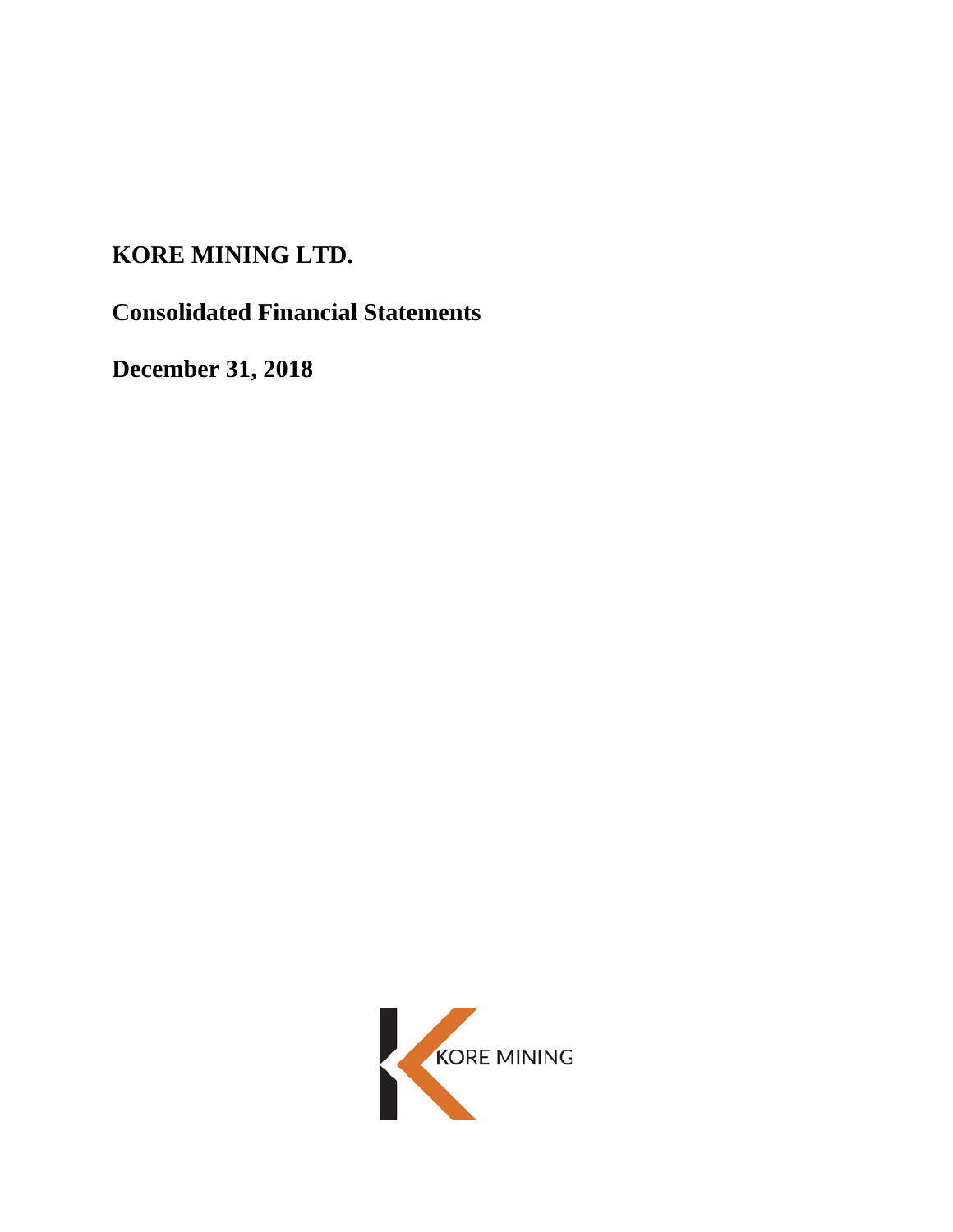# **KORE MINING LTD.**

**Consolidated Financial Statements**

**December 31, 2018**

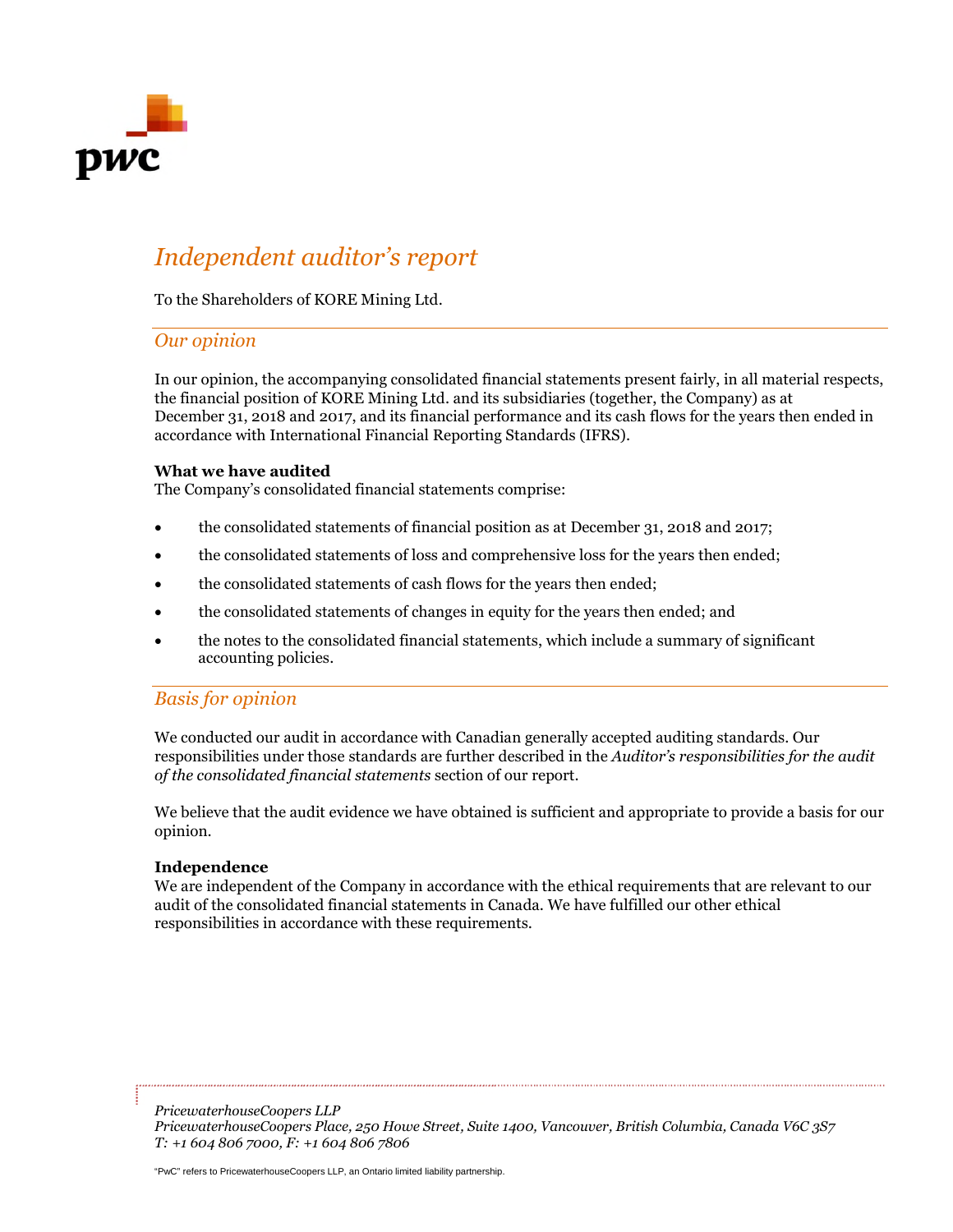

# *Independent auditor's report*

To the Shareholders of KORE Mining Ltd.

### *Our opinion*

In our opinion, the accompanying consolidated financial statements present fairly, in all material respects, the financial position of KORE Mining Ltd. and its subsidiaries (together, the Company) as at December 31, 2018 and 2017, and its financial performance and its cash flows for the years then ended in accordance with International Financial Reporting Standards (IFRS).

### **What we have audited**

The Company's consolidated financial statements comprise:

- the consolidated statements of financial position as at December 31, 2018 and 2017;
- the consolidated statements of loss and comprehensive loss for the years then ended;
- the consolidated statements of cash flows for the years then ended;
- the consolidated statements of changes in equity for the years then ended; and
- the notes to the consolidated financial statements, which include a summary of significant accounting policies.

# *Basis for opinion*

We conducted our audit in accordance with Canadian generally accepted auditing standards. Our responsibilities under those standards are further described in the *Auditor's responsibilities for the audit of the consolidated financial statements* section of our report.

We believe that the audit evidence we have obtained is sufficient and appropriate to provide a basis for our opinion.

### **Independence**

We are independent of the Company in accordance with the ethical requirements that are relevant to our audit of the consolidated financial statements in Canada. We have fulfilled our other ethical responsibilities in accordance with these requirements.

*PricewaterhouseCoopers LLP PricewaterhouseCoopers Place, 250 Howe Street, Suite 1400, Vancouver, British Columbia, Canada V6C 3S7 T: +1 604 806 7000, F: +1 604 806 7806*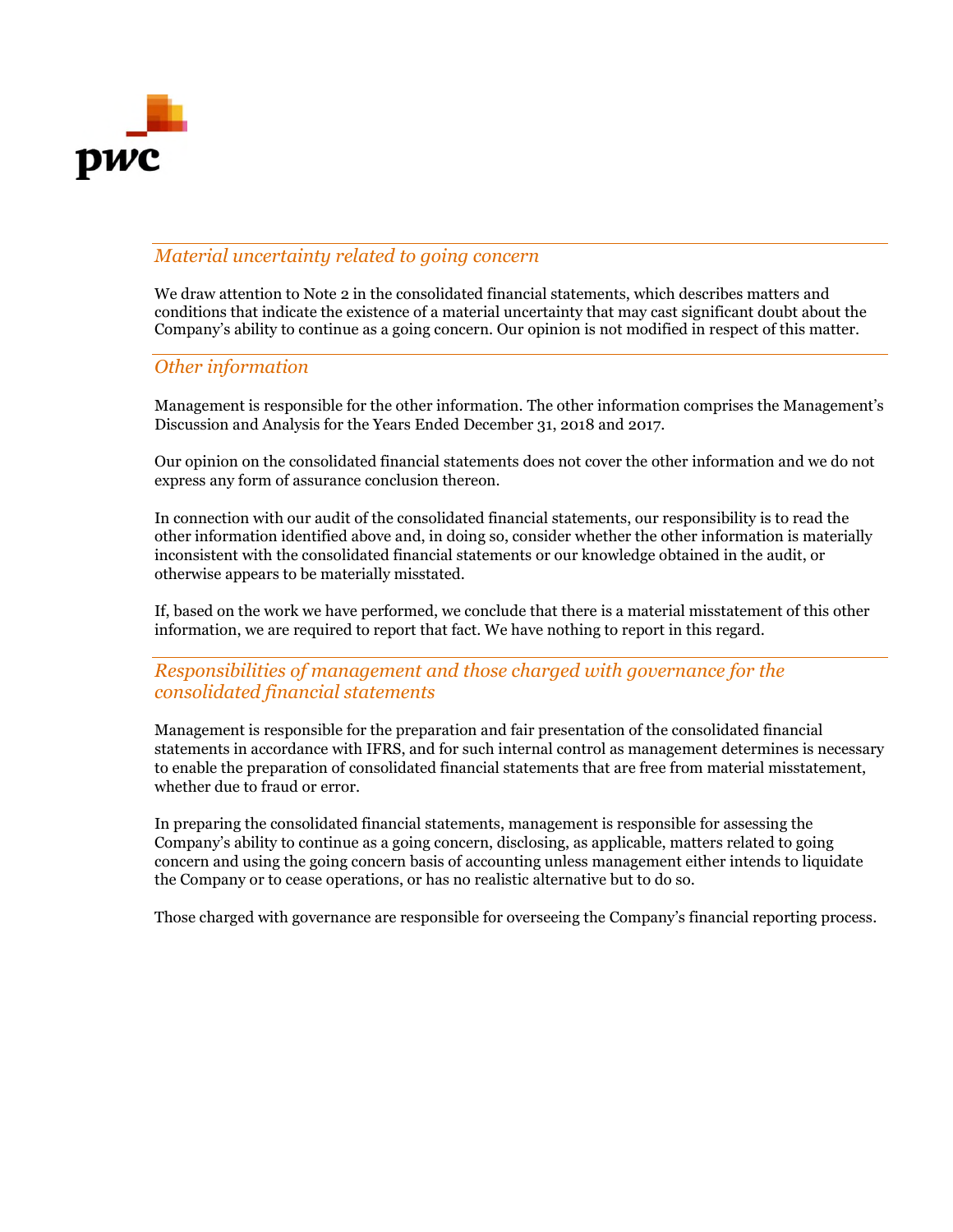

# *Material uncertainty related to going concern*

We draw attention to Note 2 in the consolidated financial statements, which describes matters and conditions that indicate the existence of a material uncertainty that may cast significant doubt about the Company's ability to continue as a going concern. Our opinion is not modified in respect of this matter.

### *Other information*

Management is responsible for the other information. The other information comprises the Management's Discussion and Analysis for the Years Ended December 31, 2018 and 2017.

Our opinion on the consolidated financial statements does not cover the other information and we do not express any form of assurance conclusion thereon.

In connection with our audit of the consolidated financial statements, our responsibility is to read the other information identified above and, in doing so, consider whether the other information is materially inconsistent with the consolidated financial statements or our knowledge obtained in the audit, or otherwise appears to be materially misstated.

If, based on the work we have performed, we conclude that there is a material misstatement of this other information, we are required to report that fact. We have nothing to report in this regard.

# *Responsibilities of management and those charged with governance for the consolidated financial statements*

Management is responsible for the preparation and fair presentation of the consolidated financial statements in accordance with IFRS, and for such internal control as management determines is necessary to enable the preparation of consolidated financial statements that are free from material misstatement, whether due to fraud or error.

In preparing the consolidated financial statements, management is responsible for assessing the Company's ability to continue as a going concern, disclosing, as applicable, matters related to going concern and using the going concern basis of accounting unless management either intends to liquidate the Company or to cease operations, or has no realistic alternative but to do so.

Those charged with governance are responsible for overseeing the Company's financial reporting process.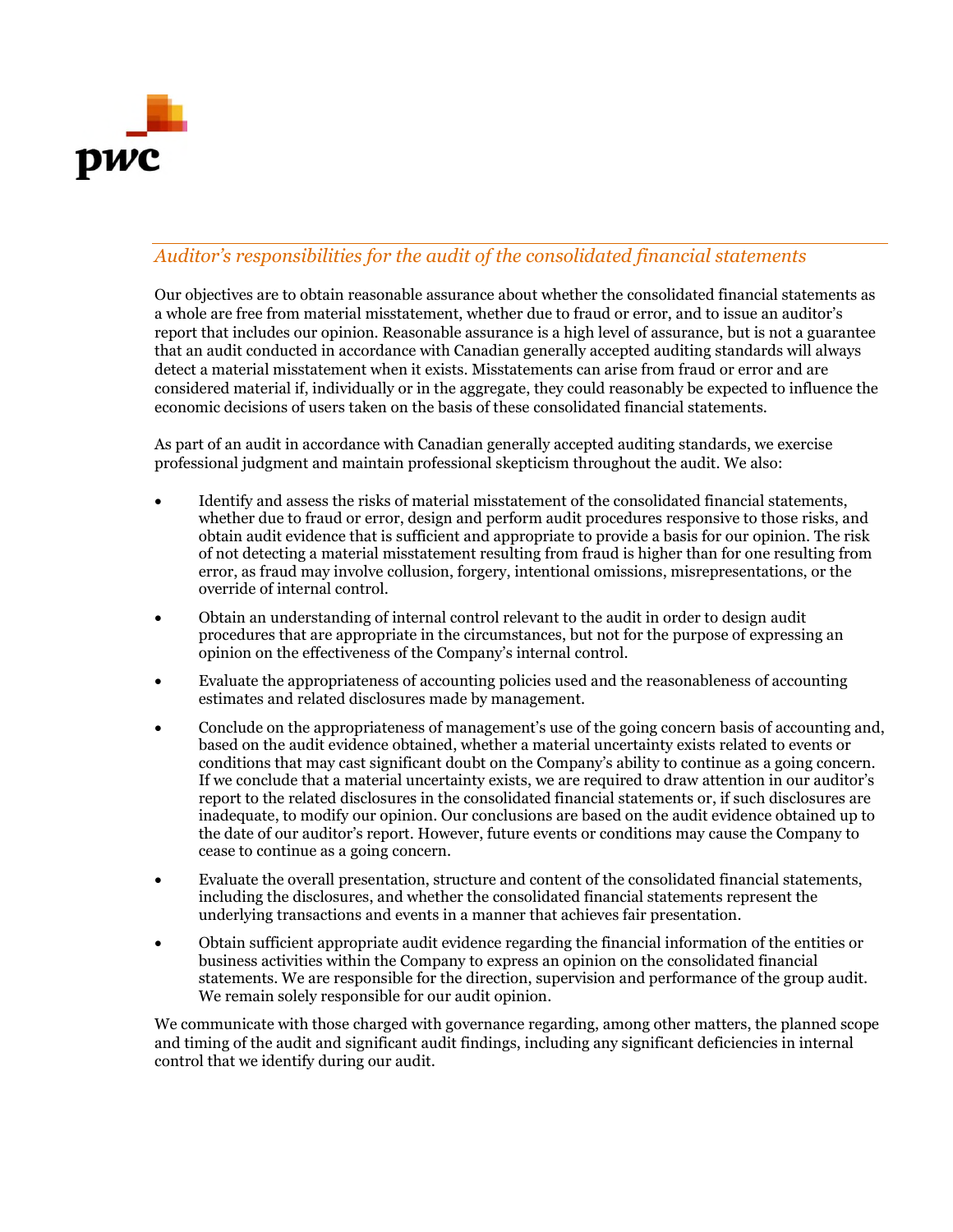

# *Auditor's responsibilities for the audit of the consolidated financial statements*

Our objectives are to obtain reasonable assurance about whether the consolidated financial statements as a whole are free from material misstatement, whether due to fraud or error, and to issue an auditor's report that includes our opinion. Reasonable assurance is a high level of assurance, but is not a guarantee that an audit conducted in accordance with Canadian generally accepted auditing standards will always detect a material misstatement when it exists. Misstatements can arise from fraud or error and are considered material if, individually or in the aggregate, they could reasonably be expected to influence the economic decisions of users taken on the basis of these consolidated financial statements.

As part of an audit in accordance with Canadian generally accepted auditing standards, we exercise professional judgment and maintain professional skepticism throughout the audit. We also:

- Identify and assess the risks of material misstatement of the consolidated financial statements, whether due to fraud or error, design and perform audit procedures responsive to those risks, and obtain audit evidence that is sufficient and appropriate to provide a basis for our opinion. The risk of not detecting a material misstatement resulting from fraud is higher than for one resulting from error, as fraud may involve collusion, forgery, intentional omissions, misrepresentations, or the override of internal control.
- Obtain an understanding of internal control relevant to the audit in order to design audit procedures that are appropriate in the circumstances, but not for the purpose of expressing an opinion on the effectiveness of the Company's internal control.
- Evaluate the appropriateness of accounting policies used and the reasonableness of accounting estimates and related disclosures made by management.
- Conclude on the appropriateness of management's use of the going concern basis of accounting and, based on the audit evidence obtained, whether a material uncertainty exists related to events or conditions that may cast significant doubt on the Company's ability to continue as a going concern. If we conclude that a material uncertainty exists, we are required to draw attention in our auditor's report to the related disclosures in the consolidated financial statements or, if such disclosures are inadequate, to modify our opinion. Our conclusions are based on the audit evidence obtained up to the date of our auditor's report. However, future events or conditions may cause the Company to cease to continue as a going concern.
- Evaluate the overall presentation, structure and content of the consolidated financial statements, including the disclosures, and whether the consolidated financial statements represent the underlying transactions and events in a manner that achieves fair presentation.
- Obtain sufficient appropriate audit evidence regarding the financial information of the entities or business activities within the Company to express an opinion on the consolidated financial statements. We are responsible for the direction, supervision and performance of the group audit. We remain solely responsible for our audit opinion.

We communicate with those charged with governance regarding, among other matters, the planned scope and timing of the audit and significant audit findings, including any significant deficiencies in internal control that we identify during our audit.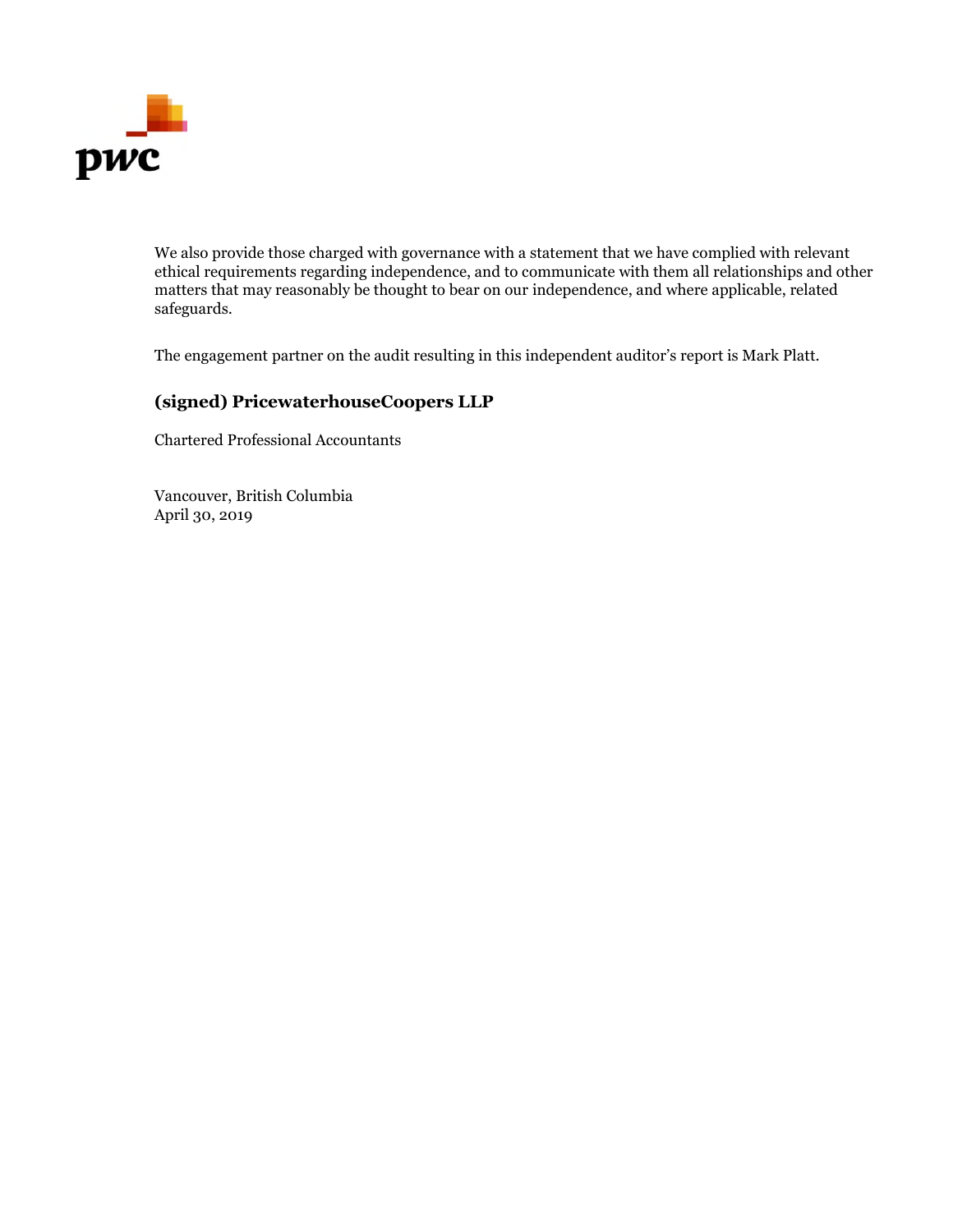

We also provide those charged with governance with a statement that we have complied with relevant ethical requirements regarding independence, and to communicate with them all relationships and other matters that may reasonably be thought to bear on our independence, and where applicable, related safeguards.

The engagement partner on the audit resulting in this independent auditor's report is Mark Platt.

# **(signed) PricewaterhouseCoopers LLP**

Chartered Professional Accountants

Vancouver, British Columbia April 30, 2019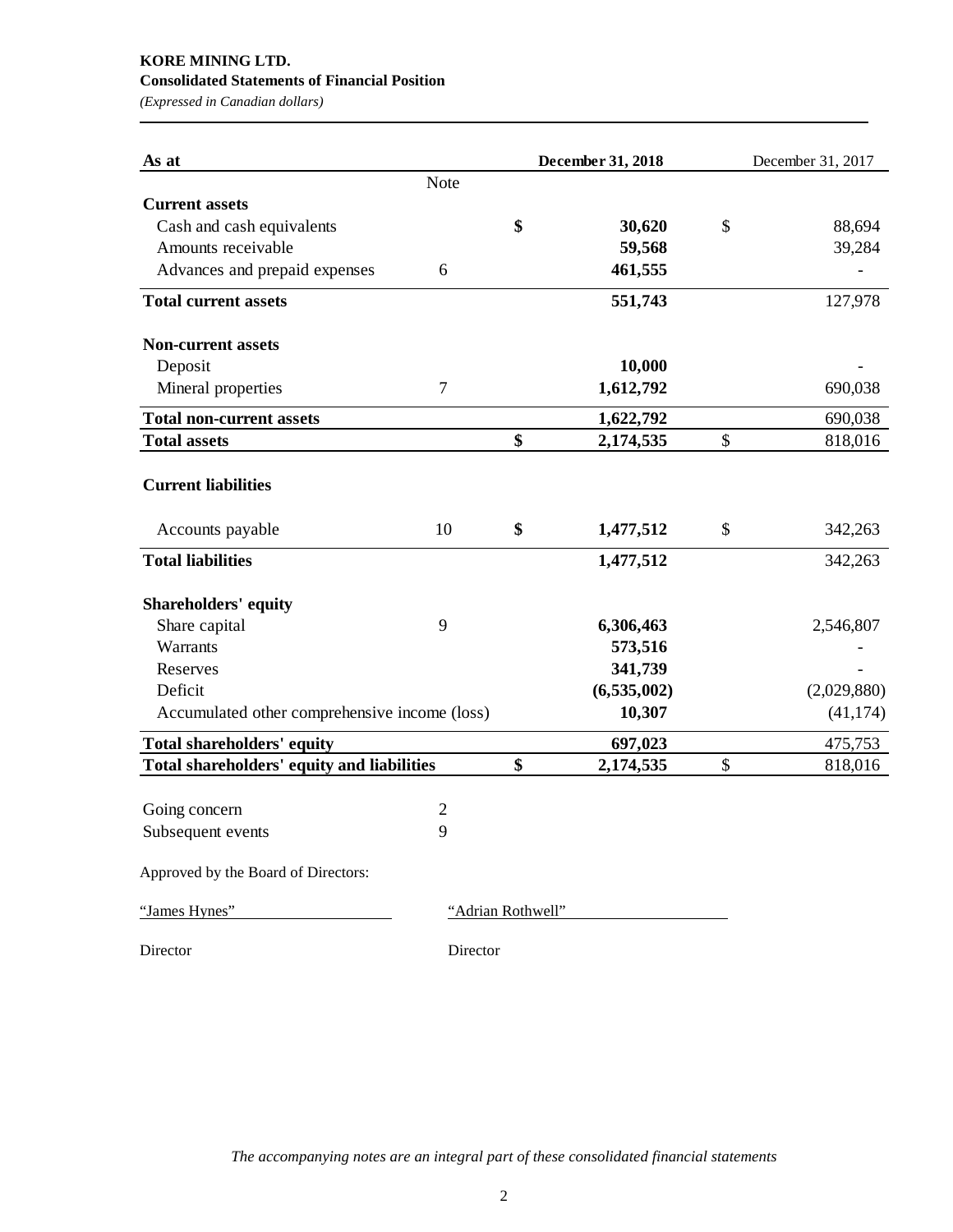# **KORE MINING LTD. Consolidated Statements of Financial Position**

*(Expressed in Canadian dollars)*

| As at                                         |                |                   | December 31, 2018 | December 31, 2017 |
|-----------------------------------------------|----------------|-------------------|-------------------|-------------------|
|                                               | Note           |                   |                   |                   |
| <b>Current assets</b>                         |                |                   |                   |                   |
| Cash and cash equivalents                     |                | \$                | 30,620            | \$<br>88,694      |
| Amounts receivable                            |                |                   | 59,568            | 39,284            |
| Advances and prepaid expenses                 | 6              |                   | 461,555           |                   |
| <b>Total current assets</b>                   |                |                   | 551,743           | 127,978           |
| <b>Non-current assets</b>                     |                |                   |                   |                   |
| Deposit                                       |                |                   | 10,000            |                   |
| Mineral properties                            | $\overline{7}$ |                   | 1,612,792         | 690,038           |
| <b>Total non-current assets</b>               |                |                   | 1,622,792         | 690,038           |
| <b>Total assets</b>                           |                | \$                | 2,174,535         | \$<br>818,016     |
| <b>Current liabilities</b>                    |                |                   |                   |                   |
| Accounts payable                              | 10             | \$                | 1,477,512         | \$<br>342,263     |
| <b>Total liabilities</b>                      |                |                   | 1,477,512         | 342,263           |
| <b>Shareholders' equity</b>                   |                |                   |                   |                   |
| Share capital                                 | 9              |                   | 6,306,463         | 2,546,807         |
| Warrants                                      |                |                   | 573,516           |                   |
| Reserves                                      |                |                   | 341,739           |                   |
| Deficit                                       |                |                   | (6,535,002)       | (2,029,880)       |
| Accumulated other comprehensive income (loss) |                |                   | 10,307            | (41, 174)         |
| Total shareholders' equity                    |                |                   | 697,023           | 475,753           |
| Total shareholders' equity and liabilities    |                | \$                | 2,174,535         | \$<br>818,016     |
|                                               |                |                   |                   |                   |
| Going concern                                 | $\mathfrak{2}$ |                   |                   |                   |
| Subsequent events                             | 9              |                   |                   |                   |
| Approved by the Board of Directors:           |                |                   |                   |                   |
| "James Hynes"                                 |                | "Adrian Rothwell" |                   |                   |

Director Director

*The accompanying notes are an integral part of these consolidated financial statements*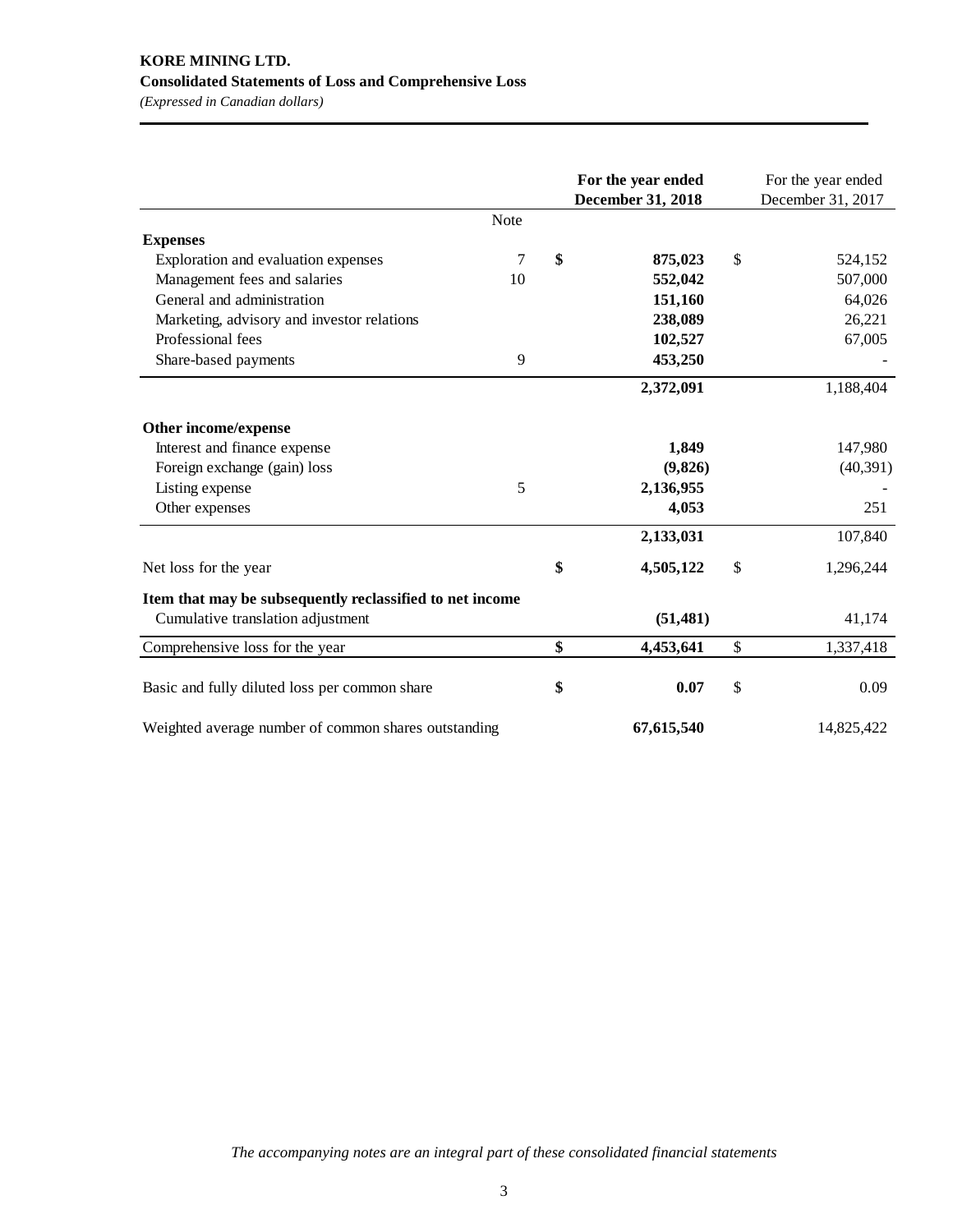# **KORE MINING LTD. Consolidated Statements of Loss and Comprehensive Loss**

*(Expressed in Canadian dollars)*

|                                                          |             | For the year ended<br>December 31, 2018 | For the year ended<br>December 31, 2017 |
|----------------------------------------------------------|-------------|-----------------------------------------|-----------------------------------------|
|                                                          | <b>Note</b> |                                         |                                         |
| <b>Expenses</b>                                          |             |                                         |                                         |
| Exploration and evaluation expenses                      | 7           | \$<br>875,023                           | \$<br>524,152                           |
| Management fees and salaries                             | 10          | 552,042                                 | 507,000                                 |
| General and administration                               |             | 151,160                                 | 64,026                                  |
| Marketing, advisory and investor relations               |             | 238,089                                 | 26,221                                  |
| Professional fees                                        |             | 102,527                                 | 67,005                                  |
| Share-based payments                                     | 9           | 453,250                                 |                                         |
|                                                          |             | 2,372,091                               | 1,188,404                               |
| Other income/expense                                     |             |                                         |                                         |
| Interest and finance expense                             |             | 1,849                                   | 147,980                                 |
| Foreign exchange (gain) loss                             |             | (9,826)                                 | (40, 391)                               |
| Listing expense                                          | 5           | 2,136,955                               |                                         |
| Other expenses                                           |             | 4,053                                   | 251                                     |
|                                                          |             | 2,133,031                               | 107,840                                 |
| Net loss for the year                                    |             | \$<br>4,505,122                         | \$<br>1,296,244                         |
| Item that may be subsequently reclassified to net income |             |                                         |                                         |
| Cumulative translation adjustment                        |             | (51, 481)                               | 41,174                                  |
| Comprehensive loss for the year                          |             | \$<br>4,453,641                         | \$<br>1,337,418                         |
| Basic and fully diluted loss per common share            |             | \$<br>0.07                              | \$<br>0.09                              |
| Weighted average number of common shares outstanding     |             | 67,615,540                              | 14,825,422                              |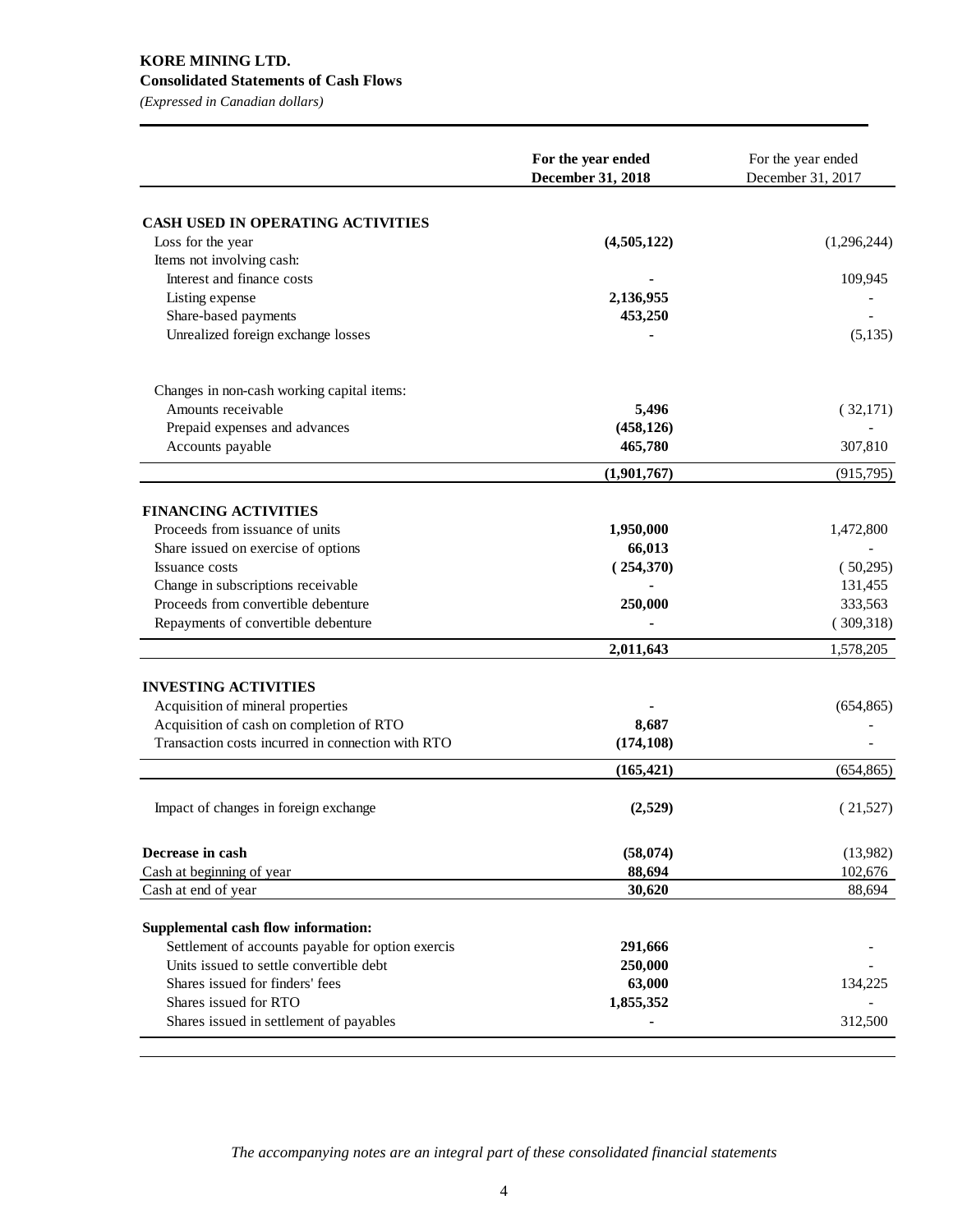### **KORE MINING LTD. Consolidated Statements of Cash Flows**

*(Expressed in Canadian dollars)*

| <b>CASH USED IN OPERATING ACTIVITIES</b><br>Loss for the year<br>(4,505,122)<br>(1,296,244)<br>Items not involving cash:<br>Interest and finance costs<br>109,945<br>2,136,955<br>Listing expense<br>Share-based payments<br>453,250<br>Unrealized foreign exchange losses<br>(5, 135)<br>Changes in non-cash working capital items:<br>Amounts receivable<br>5,496<br>(32,171)<br>Prepaid expenses and advances<br>(458, 126)<br>Accounts payable<br>465,780<br>307,810<br>(1,901,767)<br>(915,795)<br><b>FINANCING ACTIVITIES</b><br>Proceeds from issuance of units<br>1,950,000<br>1,472,800<br>Share issued on exercise of options<br>66,013<br>(254,370)<br>(50,295)<br><b>Issuance costs</b><br>Change in subscriptions receivable<br>131,455<br>Proceeds from convertible debenture<br>333,563<br>250,000<br>(309,318)<br>Repayments of convertible debenture<br>2,011,643<br>1,578,205<br><b>INVESTING ACTIVITIES</b><br>Acquisition of mineral properties<br>(654, 865)<br>Acquisition of cash on completion of RTO<br>8,687<br>Transaction costs incurred in connection with RTO<br>(174, 108) |
|-----------------------------------------------------------------------------------------------------------------------------------------------------------------------------------------------------------------------------------------------------------------------------------------------------------------------------------------------------------------------------------------------------------------------------------------------------------------------------------------------------------------------------------------------------------------------------------------------------------------------------------------------------------------------------------------------------------------------------------------------------------------------------------------------------------------------------------------------------------------------------------------------------------------------------------------------------------------------------------------------------------------------------------------------------------------------------------------------------------|
|                                                                                                                                                                                                                                                                                                                                                                                                                                                                                                                                                                                                                                                                                                                                                                                                                                                                                                                                                                                                                                                                                                           |
|                                                                                                                                                                                                                                                                                                                                                                                                                                                                                                                                                                                                                                                                                                                                                                                                                                                                                                                                                                                                                                                                                                           |
|                                                                                                                                                                                                                                                                                                                                                                                                                                                                                                                                                                                                                                                                                                                                                                                                                                                                                                                                                                                                                                                                                                           |
|                                                                                                                                                                                                                                                                                                                                                                                                                                                                                                                                                                                                                                                                                                                                                                                                                                                                                                                                                                                                                                                                                                           |
|                                                                                                                                                                                                                                                                                                                                                                                                                                                                                                                                                                                                                                                                                                                                                                                                                                                                                                                                                                                                                                                                                                           |
|                                                                                                                                                                                                                                                                                                                                                                                                                                                                                                                                                                                                                                                                                                                                                                                                                                                                                                                                                                                                                                                                                                           |
|                                                                                                                                                                                                                                                                                                                                                                                                                                                                                                                                                                                                                                                                                                                                                                                                                                                                                                                                                                                                                                                                                                           |
|                                                                                                                                                                                                                                                                                                                                                                                                                                                                                                                                                                                                                                                                                                                                                                                                                                                                                                                                                                                                                                                                                                           |
|                                                                                                                                                                                                                                                                                                                                                                                                                                                                                                                                                                                                                                                                                                                                                                                                                                                                                                                                                                                                                                                                                                           |
|                                                                                                                                                                                                                                                                                                                                                                                                                                                                                                                                                                                                                                                                                                                                                                                                                                                                                                                                                                                                                                                                                                           |
|                                                                                                                                                                                                                                                                                                                                                                                                                                                                                                                                                                                                                                                                                                                                                                                                                                                                                                                                                                                                                                                                                                           |
|                                                                                                                                                                                                                                                                                                                                                                                                                                                                                                                                                                                                                                                                                                                                                                                                                                                                                                                                                                                                                                                                                                           |
|                                                                                                                                                                                                                                                                                                                                                                                                                                                                                                                                                                                                                                                                                                                                                                                                                                                                                                                                                                                                                                                                                                           |
|                                                                                                                                                                                                                                                                                                                                                                                                                                                                                                                                                                                                                                                                                                                                                                                                                                                                                                                                                                                                                                                                                                           |
|                                                                                                                                                                                                                                                                                                                                                                                                                                                                                                                                                                                                                                                                                                                                                                                                                                                                                                                                                                                                                                                                                                           |
|                                                                                                                                                                                                                                                                                                                                                                                                                                                                                                                                                                                                                                                                                                                                                                                                                                                                                                                                                                                                                                                                                                           |
|                                                                                                                                                                                                                                                                                                                                                                                                                                                                                                                                                                                                                                                                                                                                                                                                                                                                                                                                                                                                                                                                                                           |
|                                                                                                                                                                                                                                                                                                                                                                                                                                                                                                                                                                                                                                                                                                                                                                                                                                                                                                                                                                                                                                                                                                           |
|                                                                                                                                                                                                                                                                                                                                                                                                                                                                                                                                                                                                                                                                                                                                                                                                                                                                                                                                                                                                                                                                                                           |
|                                                                                                                                                                                                                                                                                                                                                                                                                                                                                                                                                                                                                                                                                                                                                                                                                                                                                                                                                                                                                                                                                                           |
|                                                                                                                                                                                                                                                                                                                                                                                                                                                                                                                                                                                                                                                                                                                                                                                                                                                                                                                                                                                                                                                                                                           |
|                                                                                                                                                                                                                                                                                                                                                                                                                                                                                                                                                                                                                                                                                                                                                                                                                                                                                                                                                                                                                                                                                                           |
|                                                                                                                                                                                                                                                                                                                                                                                                                                                                                                                                                                                                                                                                                                                                                                                                                                                                                                                                                                                                                                                                                                           |
|                                                                                                                                                                                                                                                                                                                                                                                                                                                                                                                                                                                                                                                                                                                                                                                                                                                                                                                                                                                                                                                                                                           |
|                                                                                                                                                                                                                                                                                                                                                                                                                                                                                                                                                                                                                                                                                                                                                                                                                                                                                                                                                                                                                                                                                                           |
|                                                                                                                                                                                                                                                                                                                                                                                                                                                                                                                                                                                                                                                                                                                                                                                                                                                                                                                                                                                                                                                                                                           |
| (165, 421)<br>(654, 865)                                                                                                                                                                                                                                                                                                                                                                                                                                                                                                                                                                                                                                                                                                                                                                                                                                                                                                                                                                                                                                                                                  |
| Impact of changes in foreign exchange<br>(2,529)<br>(21,527)                                                                                                                                                                                                                                                                                                                                                                                                                                                                                                                                                                                                                                                                                                                                                                                                                                                                                                                                                                                                                                              |
| Decrease in cash<br>(58, 074)<br>(13,982)                                                                                                                                                                                                                                                                                                                                                                                                                                                                                                                                                                                                                                                                                                                                                                                                                                                                                                                                                                                                                                                                 |
| Cash at beginning of year<br>88,694<br>102,676                                                                                                                                                                                                                                                                                                                                                                                                                                                                                                                                                                                                                                                                                                                                                                                                                                                                                                                                                                                                                                                            |
| 30,620<br>88,694<br>Cash at end of year                                                                                                                                                                                                                                                                                                                                                                                                                                                                                                                                                                                                                                                                                                                                                                                                                                                                                                                                                                                                                                                                   |
| Supplemental cash flow information:                                                                                                                                                                                                                                                                                                                                                                                                                                                                                                                                                                                                                                                                                                                                                                                                                                                                                                                                                                                                                                                                       |
| Settlement of accounts payable for option exercis<br>291,666                                                                                                                                                                                                                                                                                                                                                                                                                                                                                                                                                                                                                                                                                                                                                                                                                                                                                                                                                                                                                                              |
| Units issued to settle convertible debt<br>250,000                                                                                                                                                                                                                                                                                                                                                                                                                                                                                                                                                                                                                                                                                                                                                                                                                                                                                                                                                                                                                                                        |
| Shares issued for finders' fees<br>63,000<br>134,225                                                                                                                                                                                                                                                                                                                                                                                                                                                                                                                                                                                                                                                                                                                                                                                                                                                                                                                                                                                                                                                      |
| Shares issued for RTO<br>1,855,352                                                                                                                                                                                                                                                                                                                                                                                                                                                                                                                                                                                                                                                                                                                                                                                                                                                                                                                                                                                                                                                                        |
| 312,500<br>Shares issued in settlement of payables                                                                                                                                                                                                                                                                                                                                                                                                                                                                                                                                                                                                                                                                                                                                                                                                                                                                                                                                                                                                                                                        |

*The accompanying notes are an integral part of these consolidated financial statements*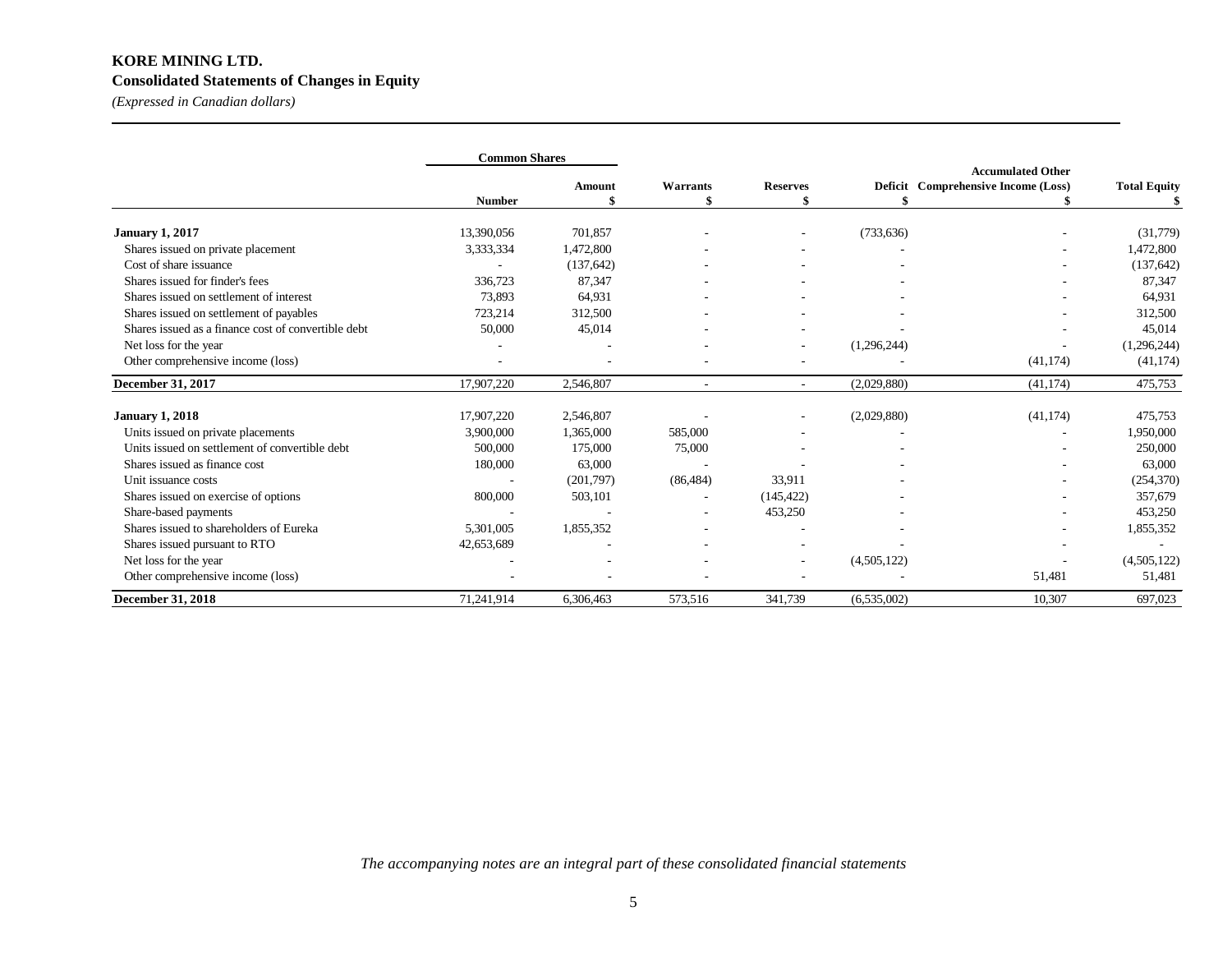## **KORE MINING LTD. Consolidated Statements of Changes in Equity**

*(Expressed in Canadian dollars)*

|                                                     | <b>Common Shares</b> |            |           |                          |             |                                     |                     |
|-----------------------------------------------------|----------------------|------------|-----------|--------------------------|-------------|-------------------------------------|---------------------|
|                                                     |                      |            |           |                          |             | <b>Accumulated Other</b>            |                     |
|                                                     |                      | Amount     | Warrants  | <b>Reserves</b>          |             | Deficit Comprehensive Income (Loss) | <b>Total Equity</b> |
|                                                     | <b>Number</b>        |            |           |                          |             |                                     |                     |
| <b>January 1, 2017</b>                              | 13,390,056           | 701,857    |           | $\overline{\phantom{a}}$ | (733, 636)  |                                     | (31,779)            |
| Shares issued on private placement                  | 3,333,334            | 1,472,800  |           |                          |             |                                     | 1,472,800           |
| Cost of share issuance                              |                      | (137, 642) |           |                          |             |                                     | (137, 642)          |
| Shares issued for finder's fees                     | 336,723              | 87,347     |           |                          |             |                                     | 87,347              |
| Shares issued on settlement of interest             | 73,893               | 64,931     |           |                          |             |                                     | 64,931              |
| Shares issued on settlement of payables             | 723,214              | 312,500    |           |                          |             |                                     | 312,500             |
| Shares issued as a finance cost of convertible debt | 50,000               | 45,014     |           |                          |             |                                     | 45,014              |
| Net loss for the year                               |                      |            |           | $\overline{\phantom{a}}$ | (1,296,244) |                                     | (1,296,244)         |
| Other comprehensive income (loss)                   |                      |            |           | ٠                        |             | (41, 174)                           | (41, 174)           |
| December 31, 2017                                   | 17.907.220           | 2,546,807  | ٠         | ٠                        | (2,029,880) | (41, 174)                           | 475,753             |
| <b>January 1, 2018</b>                              | 17,907,220           | 2,546,807  |           | ٠                        | (2,029,880) | (41, 174)                           | 475,753             |
| Units issued on private placements                  | 3,900,000            | 1,365,000  | 585,000   |                          |             |                                     | 1,950,000           |
| Units issued on settlement of convertible debt      | 500,000              | 175,000    | 75,000    |                          |             |                                     | 250,000             |
| Shares issued as finance cost                       | 180,000              | 63,000     |           |                          |             |                                     | 63,000              |
| Unit issuance costs                                 | ٠                    | (201,797)  | (86, 484) | 33,911                   |             |                                     | (254, 370)          |
| Shares issued on exercise of options                | 800,000              | 503,101    |           | (145, 422)               |             |                                     | 357,679             |
| Share-based payments                                |                      |            |           | 453,250                  |             |                                     | 453,250             |
| Shares issued to shareholders of Eureka             | 5.301.005            | 1,855,352  | ۰         |                          |             |                                     | 1,855,352           |
| Shares issued pursuant to RTO                       | 42,653,689           |            | ٠         |                          |             |                                     |                     |
| Net loss for the year                               |                      |            |           | $\overline{\phantom{a}}$ | (4,505,122) |                                     | (4,505,122)         |
| Other comprehensive income (loss)                   |                      |            |           |                          |             | 51,481                              | 51,481              |
| <b>December 31, 2018</b>                            | 71,241,914           | 6,306,463  | 573,516   | 341,739                  | (6,535,002) | 10,307                              | 697,023             |

*The accompanying notes are an integral part of these consolidated financial statements*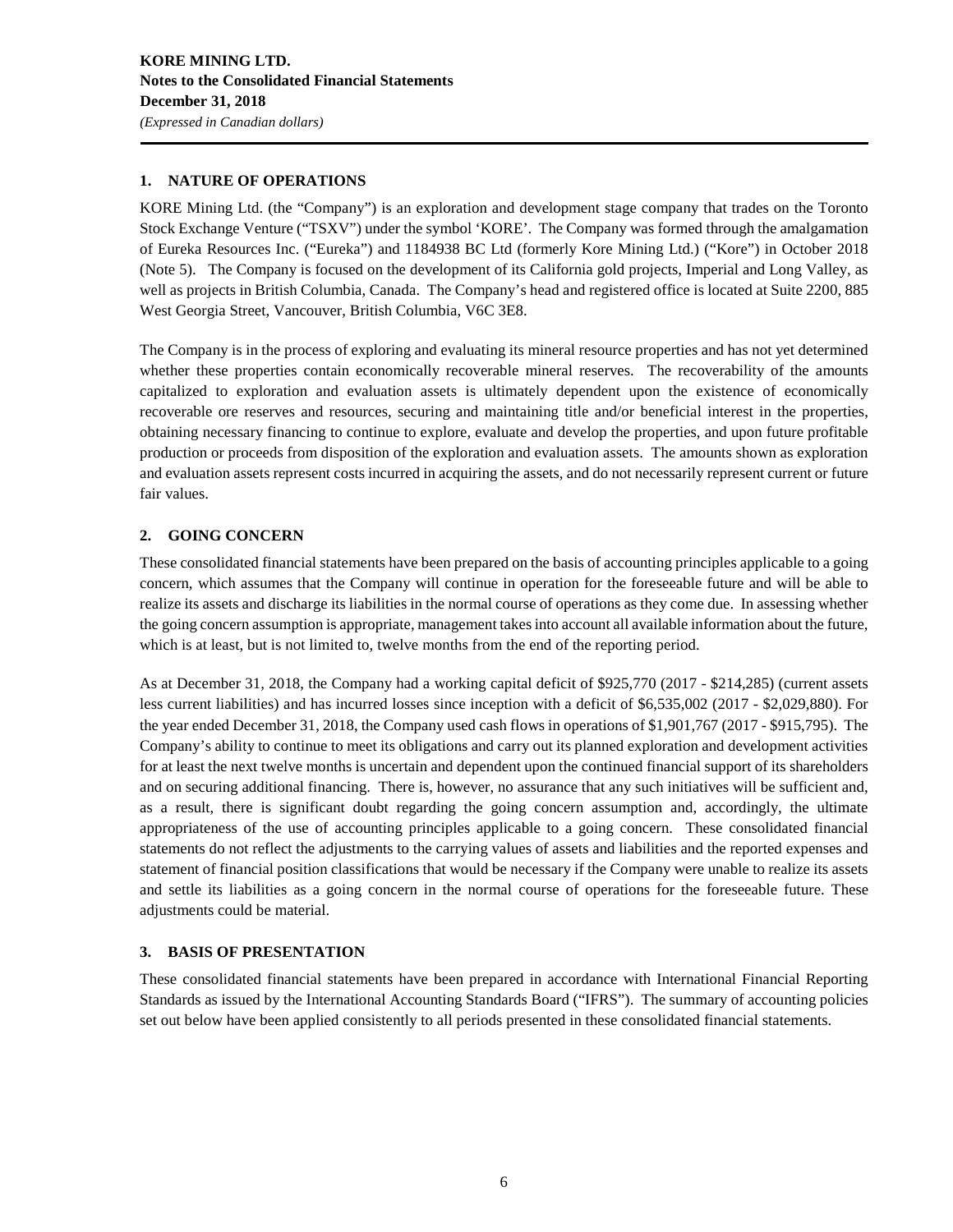### **1. NATURE OF OPERATIONS**

KORE Mining Ltd. (the "Company") is an exploration and development stage company that trades on the Toronto Stock Exchange Venture ("TSXV") under the symbol 'KORE'. The Company was formed through the amalgamation of Eureka Resources Inc. ("Eureka") and 1184938 BC Ltd (formerly Kore Mining Ltd.) ("Kore") in October 2018 (Note 5). The Company is focused on the development of its California gold projects, Imperial and Long Valley, as well as projects in British Columbia, Canada. The Company's head and registered office is located at Suite 2200, 885 West Georgia Street, Vancouver, British Columbia, V6C 3E8.

The Company is in the process of exploring and evaluating its mineral resource properties and has not yet determined whether these properties contain economically recoverable mineral reserves. The recoverability of the amounts capitalized to exploration and evaluation assets is ultimately dependent upon the existence of economically recoverable ore reserves and resources, securing and maintaining title and/or beneficial interest in the properties, obtaining necessary financing to continue to explore, evaluate and develop the properties, and upon future profitable production or proceeds from disposition of the exploration and evaluation assets. The amounts shown as exploration and evaluation assets represent costs incurred in acquiring the assets, and do not necessarily represent current or future fair values.

### **2. GOING CONCERN**

These consolidated financial statements have been prepared on the basis of accounting principles applicable to a going concern, which assumes that the Company will continue in operation for the foreseeable future and will be able to realize its assets and discharge its liabilities in the normal course of operations as they come due. In assessing whether the going concern assumption is appropriate, management takes into account all available information about the future, which is at least, but is not limited to, twelve months from the end of the reporting period.

As at December 31, 2018, the Company had a working capital deficit of \$925,770 (2017 - \$214,285) (current assets less current liabilities) and has incurred losses since inception with a deficit of \$6,535,002 (2017 - \$2,029,880). For the year ended December 31, 2018, the Company used cash flows in operations of \$1,901,767 (2017 - \$915,795). The Company's ability to continue to meet its obligations and carry out its planned exploration and development activities for at least the next twelve months is uncertain and dependent upon the continued financial support of its shareholders and on securing additional financing. There is, however, no assurance that any such initiatives will be sufficient and, as a result, there is significant doubt regarding the going concern assumption and, accordingly, the ultimate appropriateness of the use of accounting principles applicable to a going concern. These consolidated financial statements do not reflect the adjustments to the carrying values of assets and liabilities and the reported expenses and statement of financial position classifications that would be necessary if the Company were unable to realize its assets and settle its liabilities as a going concern in the normal course of operations for the foreseeable future. These adjustments could be material.

### **3. BASIS OF PRESENTATION**

These consolidated financial statements have been prepared in accordance with International Financial Reporting Standards as issued by the International Accounting Standards Board ("IFRS"). The summary of accounting policies set out below have been applied consistently to all periods presented in these consolidated financial statements.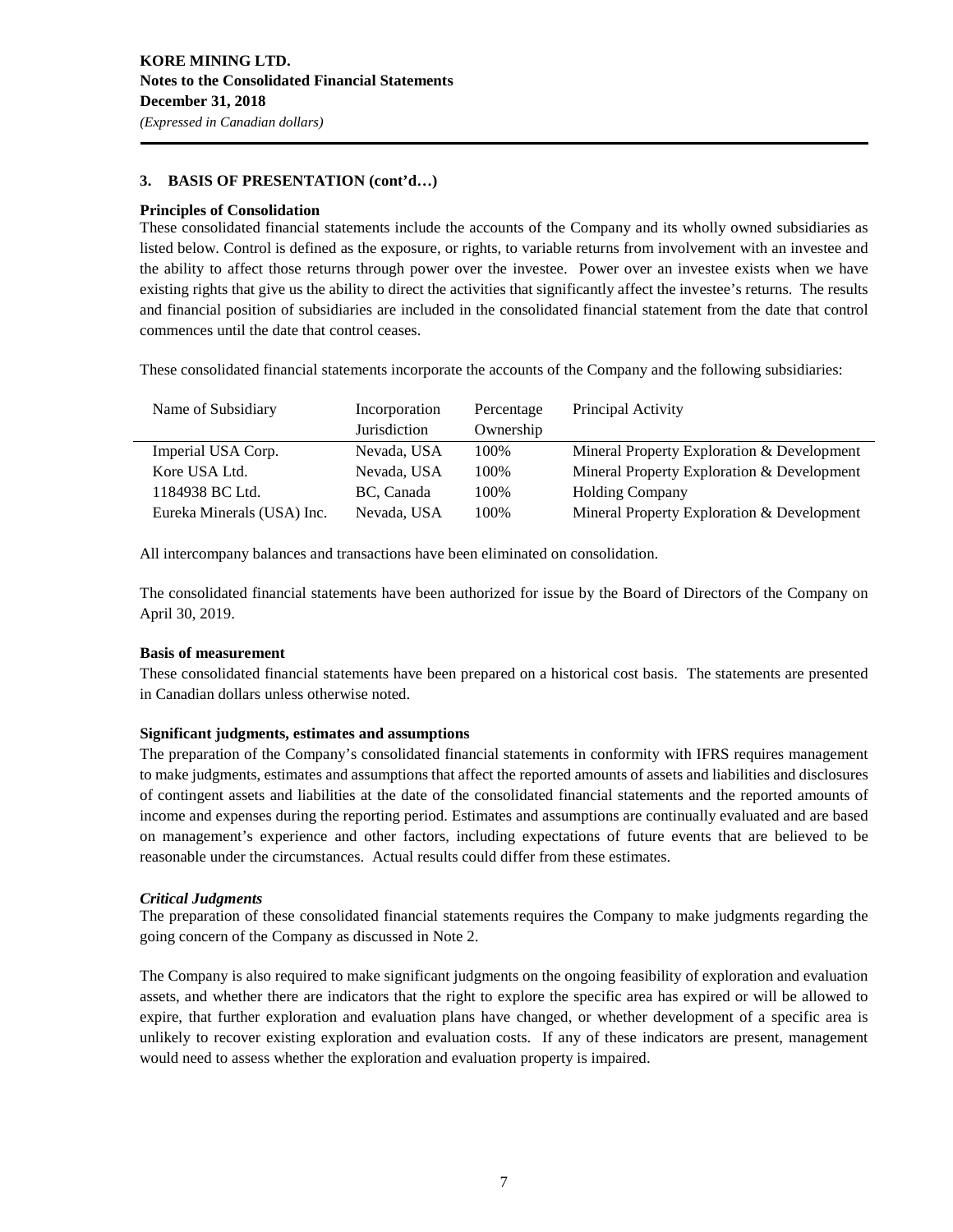### **3. BASIS OF PRESENTATION (cont'd…)**

### **Principles of Consolidation**

These consolidated financial statements include the accounts of the Company and its wholly owned subsidiaries as listed below. Control is defined as the exposure, or rights, to variable returns from involvement with an investee and the ability to affect those returns through power over the investee. Power over an investee exists when we have existing rights that give us the ability to direct the activities that significantly affect the investee's returns. The results and financial position of subsidiaries are included in the consolidated financial statement from the date that control commences until the date that control ceases.

These consolidated financial statements incorporate the accounts of the Company and the following subsidiaries:

| Name of Subsidiary         | Incorporation | Percentage | Principal Activity                         |
|----------------------------|---------------|------------|--------------------------------------------|
|                            | Jurisdiction  | Ownership  |                                            |
| Imperial USA Corp.         | Nevada, USA   | 100%       | Mineral Property Exploration & Development |
| Kore USA Ltd.              | Nevada, USA   | 100%       | Mineral Property Exploration & Development |
| 1184938 BC Ltd.            | BC. Canada    | 100%       | <b>Holding Company</b>                     |
| Eureka Minerals (USA) Inc. | Nevada, USA   | 100%       | Mineral Property Exploration & Development |

All intercompany balances and transactions have been eliminated on consolidation.

The consolidated financial statements have been authorized for issue by the Board of Directors of the Company on April 30, 2019.

### **Basis of measurement**

These consolidated financial statements have been prepared on a historical cost basis. The statements are presented in Canadian dollars unless otherwise noted.

### **Significant judgments, estimates and assumptions**

The preparation of the Company's consolidated financial statements in conformity with IFRS requires management to make judgments, estimates and assumptions that affect the reported amounts of assets and liabilities and disclosures of contingent assets and liabilities at the date of the consolidated financial statements and the reported amounts of income and expenses during the reporting period. Estimates and assumptions are continually evaluated and are based on management's experience and other factors, including expectations of future events that are believed to be reasonable under the circumstances. Actual results could differ from these estimates.

### *Critical Judgments*

The preparation of these consolidated financial statements requires the Company to make judgments regarding the going concern of the Company as discussed in Note 2.

The Company is also required to make significant judgments on the ongoing feasibility of exploration and evaluation assets, and whether there are indicators that the right to explore the specific area has expired or will be allowed to expire, that further exploration and evaluation plans have changed, or whether development of a specific area is unlikely to recover existing exploration and evaluation costs. If any of these indicators are present, management would need to assess whether the exploration and evaluation property is impaired.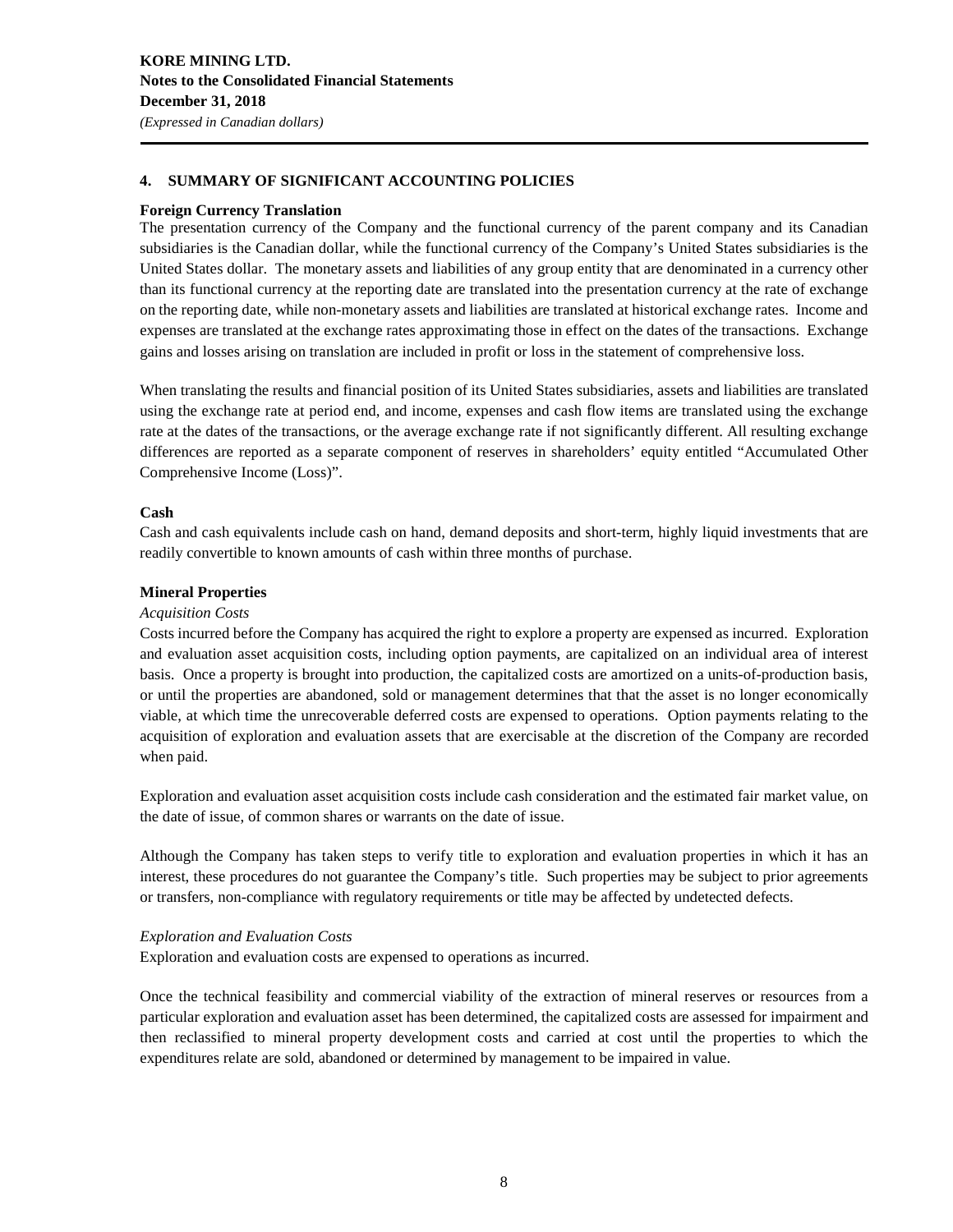### **4. SUMMARY OF SIGNIFICANT ACCOUNTING POLICIES**

### **Foreign Currency Translation**

The presentation currency of the Company and the functional currency of the parent company and its Canadian subsidiaries is the Canadian dollar, while the functional currency of the Company's United States subsidiaries is the United States dollar. The monetary assets and liabilities of any group entity that are denominated in a currency other than its functional currency at the reporting date are translated into the presentation currency at the rate of exchange on the reporting date, while non-monetary assets and liabilities are translated at historical exchange rates. Income and expenses are translated at the exchange rates approximating those in effect on the dates of the transactions. Exchange gains and losses arising on translation are included in profit or loss in the statement of comprehensive loss.

When translating the results and financial position of its United States subsidiaries, assets and liabilities are translated using the exchange rate at period end, and income, expenses and cash flow items are translated using the exchange rate at the dates of the transactions, or the average exchange rate if not significantly different. All resulting exchange differences are reported as a separate component of reserves in shareholders' equity entitled "Accumulated Other Comprehensive Income (Loss)".

### **Cash**

Cash and cash equivalents include cash on hand, demand deposits and short-term, highly liquid investments that are readily convertible to known amounts of cash within three months of purchase.

### **Mineral Properties**

### *Acquisition Costs*

Costs incurred before the Company has acquired the right to explore a property are expensed as incurred. Exploration and evaluation asset acquisition costs, including option payments, are capitalized on an individual area of interest basis. Once a property is brought into production, the capitalized costs are amortized on a units-of-production basis, or until the properties are abandoned, sold or management determines that that the asset is no longer economically viable, at which time the unrecoverable deferred costs are expensed to operations. Option payments relating to the acquisition of exploration and evaluation assets that are exercisable at the discretion of the Company are recorded when paid.

Exploration and evaluation asset acquisition costs include cash consideration and the estimated fair market value, on the date of issue, of common shares or warrants on the date of issue.

Although the Company has taken steps to verify title to exploration and evaluation properties in which it has an interest, these procedures do not guarantee the Company's title. Such properties may be subject to prior agreements or transfers, non-compliance with regulatory requirements or title may be affected by undetected defects.

### *Exploration and Evaluation Costs*

Exploration and evaluation costs are expensed to operations as incurred.

Once the technical feasibility and commercial viability of the extraction of mineral reserves or resources from a particular exploration and evaluation asset has been determined, the capitalized costs are assessed for impairment and then reclassified to mineral property development costs and carried at cost until the properties to which the expenditures relate are sold, abandoned or determined by management to be impaired in value.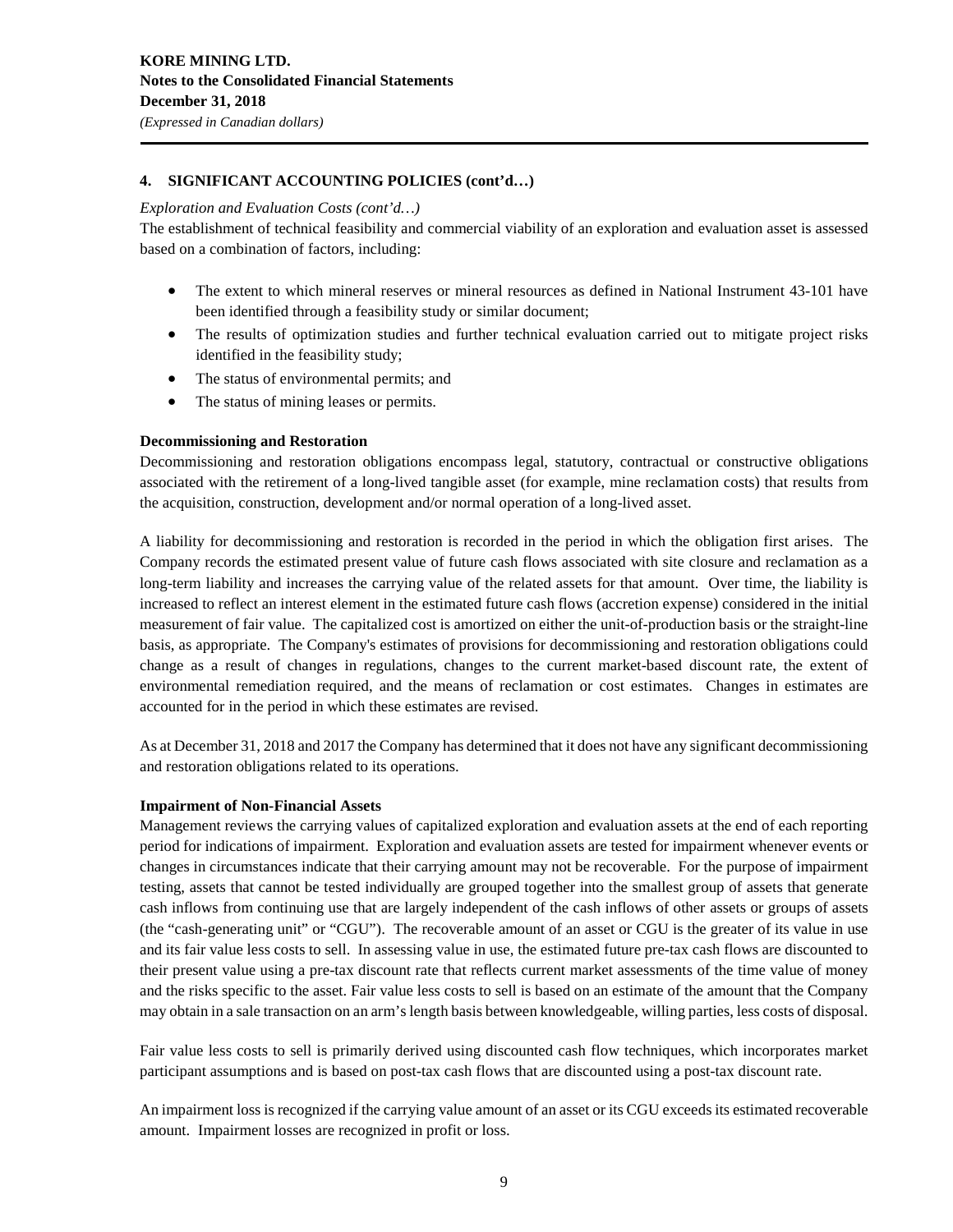### **4. SIGNIFICANT ACCOUNTING POLICIES (cont'd…)**

### *Exploration and Evaluation Costs (cont'd…)*

The establishment of technical feasibility and commercial viability of an exploration and evaluation asset is assessed based on a combination of factors, including:

- The extent to which mineral reserves or mineral resources as defined in National Instrument 43-101 have been identified through a feasibility study or similar document;
- The results of optimization studies and further technical evaluation carried out to mitigate project risks identified in the feasibility study;
- The status of environmental permits; and
- The status of mining leases or permits.

### **Decommissioning and Restoration**

Decommissioning and restoration obligations encompass legal, statutory, contractual or constructive obligations associated with the retirement of a long-lived tangible asset (for example, mine reclamation costs) that results from the acquisition, construction, development and/or normal operation of a long-lived asset.

A liability for decommissioning and restoration is recorded in the period in which the obligation first arises. The Company records the estimated present value of future cash flows associated with site closure and reclamation as a long-term liability and increases the carrying value of the related assets for that amount. Over time, the liability is increased to reflect an interest element in the estimated future cash flows (accretion expense) considered in the initial measurement of fair value. The capitalized cost is amortized on either the unit-of-production basis or the straight-line basis, as appropriate. The Company's estimates of provisions for decommissioning and restoration obligations could change as a result of changes in regulations, changes to the current market-based discount rate, the extent of environmental remediation required, and the means of reclamation or cost estimates. Changes in estimates are accounted for in the period in which these estimates are revised.

As at December 31, 2018 and 2017 the Company has determined that it does not have any significant decommissioning and restoration obligations related to its operations.

### **Impairment of Non-Financial Assets**

Management reviews the carrying values of capitalized exploration and evaluation assets at the end of each reporting period for indications of impairment. Exploration and evaluation assets are tested for impairment whenever events or changes in circumstances indicate that their carrying amount may not be recoverable. For the purpose of impairment testing, assets that cannot be tested individually are grouped together into the smallest group of assets that generate cash inflows from continuing use that are largely independent of the cash inflows of other assets or groups of assets (the "cash-generating unit" or "CGU"). The recoverable amount of an asset or CGU is the greater of its value in use and its fair value less costs to sell. In assessing value in use, the estimated future pre-tax cash flows are discounted to their present value using a pre-tax discount rate that reflects current market assessments of the time value of money and the risks specific to the asset. Fair value less costs to sell is based on an estimate of the amount that the Company may obtain in a sale transaction on an arm's length basis between knowledgeable, willing parties, less costs of disposal.

Fair value less costs to sell is primarily derived using discounted cash flow techniques, which incorporates market participant assumptions and is based on post-tax cash flows that are discounted using a post-tax discount rate.

An impairment loss is recognized if the carrying value amount of an asset or its CGU exceeds its estimated recoverable amount. Impairment losses are recognized in profit or loss.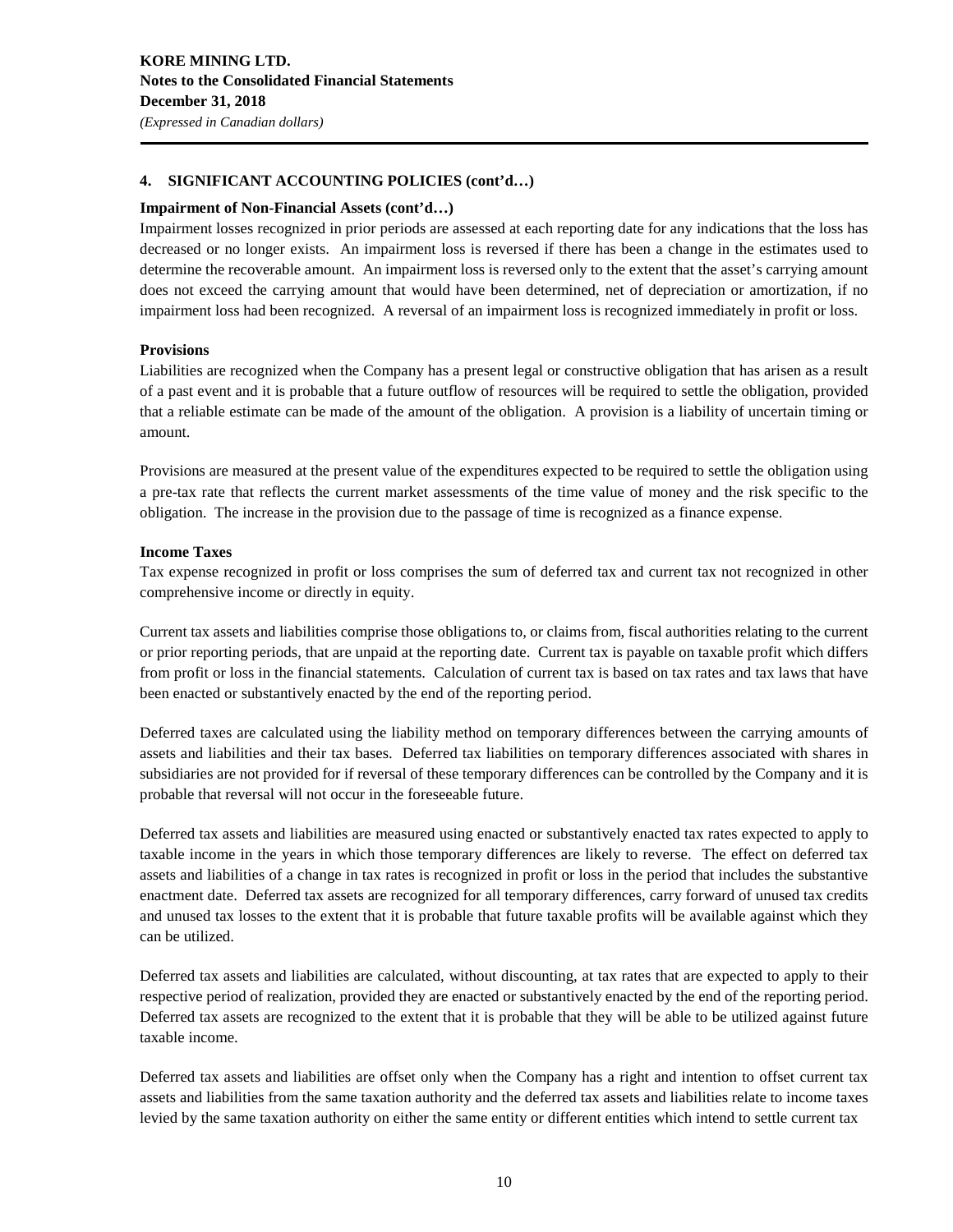### **4. SIGNIFICANT ACCOUNTING POLICIES (cont'd…)**

### **Impairment of Non-Financial Assets (cont'd…)**

Impairment losses recognized in prior periods are assessed at each reporting date for any indications that the loss has decreased or no longer exists. An impairment loss is reversed if there has been a change in the estimates used to determine the recoverable amount. An impairment loss is reversed only to the extent that the asset's carrying amount does not exceed the carrying amount that would have been determined, net of depreciation or amortization, if no impairment loss had been recognized. A reversal of an impairment loss is recognized immediately in profit or loss.

### **Provisions**

Liabilities are recognized when the Company has a present legal or constructive obligation that has arisen as a result of a past event and it is probable that a future outflow of resources will be required to settle the obligation, provided that a reliable estimate can be made of the amount of the obligation. A provision is a liability of uncertain timing or amount.

Provisions are measured at the present value of the expenditures expected to be required to settle the obligation using a pre-tax rate that reflects the current market assessments of the time value of money and the risk specific to the obligation. The increase in the provision due to the passage of time is recognized as a finance expense.

### **Income Taxes**

Tax expense recognized in profit or loss comprises the sum of deferred tax and current tax not recognized in other comprehensive income or directly in equity.

Current tax assets and liabilities comprise those obligations to, or claims from, fiscal authorities relating to the current or prior reporting periods, that are unpaid at the reporting date. Current tax is payable on taxable profit which differs from profit or loss in the financial statements. Calculation of current tax is based on tax rates and tax laws that have been enacted or substantively enacted by the end of the reporting period.

Deferred taxes are calculated using the liability method on temporary differences between the carrying amounts of assets and liabilities and their tax bases. Deferred tax liabilities on temporary differences associated with shares in subsidiaries are not provided for if reversal of these temporary differences can be controlled by the Company and it is probable that reversal will not occur in the foreseeable future.

Deferred tax assets and liabilities are measured using enacted or substantively enacted tax rates expected to apply to taxable income in the years in which those temporary differences are likely to reverse. The effect on deferred tax assets and liabilities of a change in tax rates is recognized in profit or loss in the period that includes the substantive enactment date. Deferred tax assets are recognized for all temporary differences, carry forward of unused tax credits and unused tax losses to the extent that it is probable that future taxable profits will be available against which they can be utilized.

Deferred tax assets and liabilities are calculated, without discounting, at tax rates that are expected to apply to their respective period of realization, provided they are enacted or substantively enacted by the end of the reporting period. Deferred tax assets are recognized to the extent that it is probable that they will be able to be utilized against future taxable income.

Deferred tax assets and liabilities are offset only when the Company has a right and intention to offset current tax assets and liabilities from the same taxation authority and the deferred tax assets and liabilities relate to income taxes levied by the same taxation authority on either the same entity or different entities which intend to settle current tax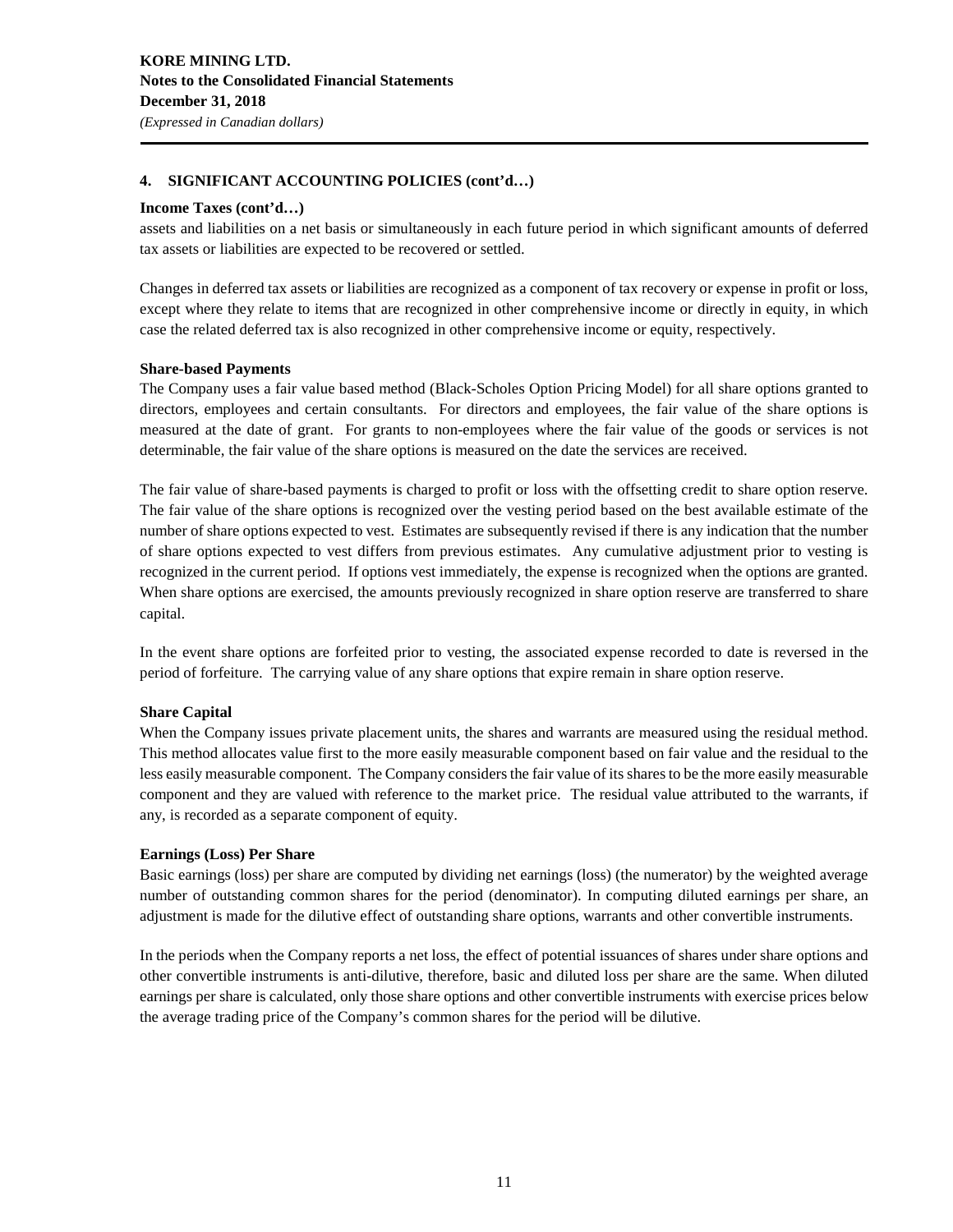### **4. SIGNIFICANT ACCOUNTING POLICIES (cont'd…)**

### **Income Taxes (cont'd…)**

assets and liabilities on a net basis or simultaneously in each future period in which significant amounts of deferred tax assets or liabilities are expected to be recovered or settled.

Changes in deferred tax assets or liabilities are recognized as a component of tax recovery or expense in profit or loss, except where they relate to items that are recognized in other comprehensive income or directly in equity, in which case the related deferred tax is also recognized in other comprehensive income or equity, respectively.

### **Share-based Payments**

The Company uses a fair value based method (Black-Scholes Option Pricing Model) for all share options granted to directors, employees and certain consultants. For directors and employees, the fair value of the share options is measured at the date of grant. For grants to non-employees where the fair value of the goods or services is not determinable, the fair value of the share options is measured on the date the services are received.

The fair value of share-based payments is charged to profit or loss with the offsetting credit to share option reserve. The fair value of the share options is recognized over the vesting period based on the best available estimate of the number of share options expected to vest. Estimates are subsequently revised if there is any indication that the number of share options expected to vest differs from previous estimates. Any cumulative adjustment prior to vesting is recognized in the current period. If options vest immediately, the expense is recognized when the options are granted. When share options are exercised, the amounts previously recognized in share option reserve are transferred to share capital.

In the event share options are forfeited prior to vesting, the associated expense recorded to date is reversed in the period of forfeiture. The carrying value of any share options that expire remain in share option reserve.

### **Share Capital**

When the Company issues private placement units, the shares and warrants are measured using the residual method. This method allocates value first to the more easily measurable component based on fair value and the residual to the less easily measurable component. The Company considers the fair value of its shares to be the more easily measurable component and they are valued with reference to the market price. The residual value attributed to the warrants, if any, is recorded as a separate component of equity.

### **Earnings (Loss) Per Share**

Basic earnings (loss) per share are computed by dividing net earnings (loss) (the numerator) by the weighted average number of outstanding common shares for the period (denominator). In computing diluted earnings per share, an adjustment is made for the dilutive effect of outstanding share options, warrants and other convertible instruments.

In the periods when the Company reports a net loss, the effect of potential issuances of shares under share options and other convertible instruments is anti-dilutive, therefore, basic and diluted loss per share are the same. When diluted earnings per share is calculated, only those share options and other convertible instruments with exercise prices below the average trading price of the Company's common shares for the period will be dilutive.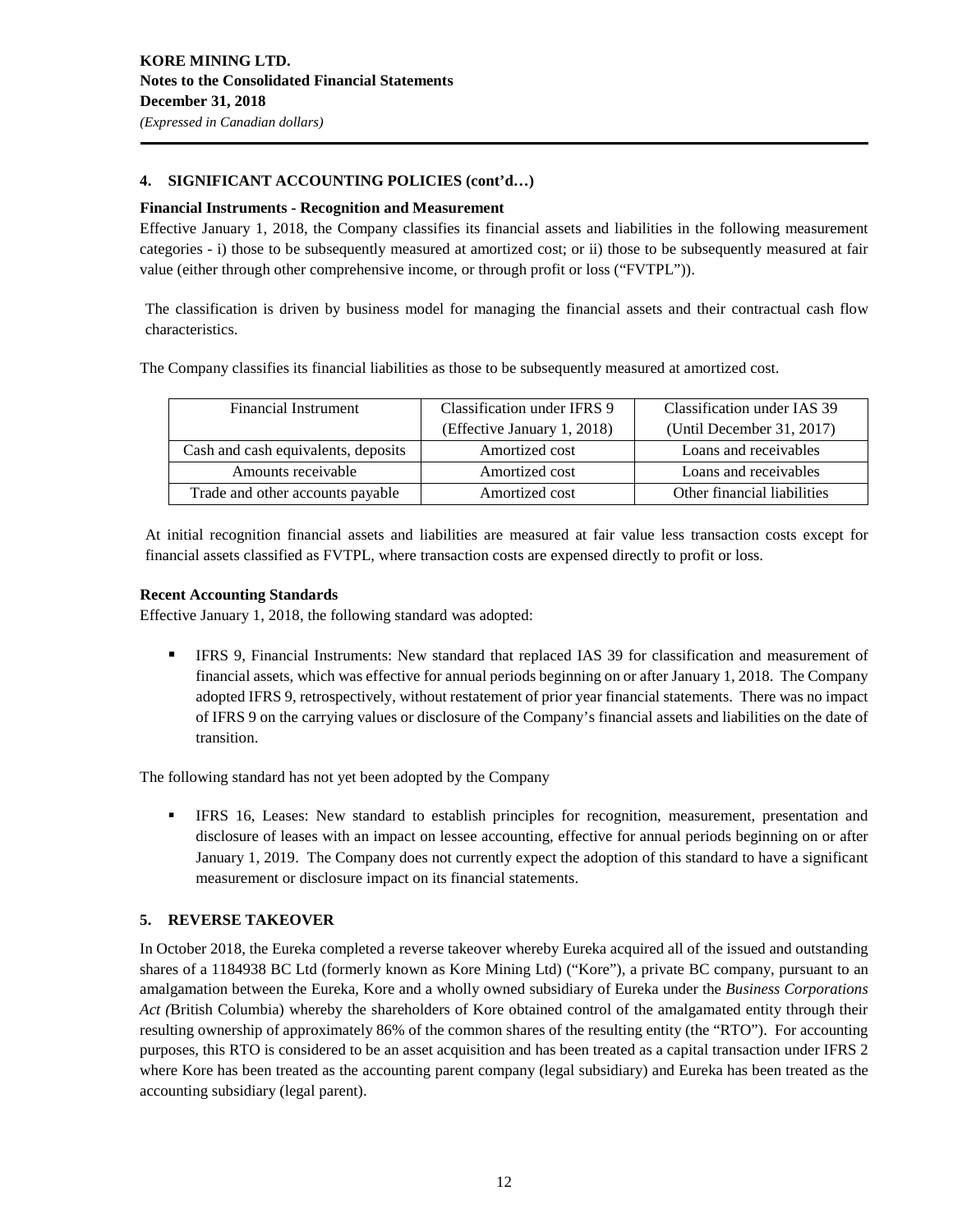### **4. SIGNIFICANT ACCOUNTING POLICIES (cont'd…)**

### **Financial Instruments - Recognition and Measurement**

Effective January 1, 2018, the Company classifies its financial assets and liabilities in the following measurement categories - i) those to be subsequently measured at amortized cost; or ii) those to be subsequently measured at fair value (either through other comprehensive income, or through profit or loss ("FVTPL")).

The classification is driven by business model for managing the financial assets and their contractual cash flow characteristics.

The Company classifies its financial liabilities as those to be subsequently measured at amortized cost.

| Financial Instrument                | Classification under IFRS 9 | Classification under IAS 39 |
|-------------------------------------|-----------------------------|-----------------------------|
|                                     | (Effective January 1, 2018) | (Until December 31, 2017)   |
| Cash and cash equivalents, deposits | Amortized cost              | Loans and receivables       |
| Amounts receivable                  | Amortized cost              | Loans and receivables       |
| Trade and other accounts payable    | Amortized cost              | Other financial liabilities |

At initial recognition financial assets and liabilities are measured at fair value less transaction costs except for financial assets classified as FVTPL, where transaction costs are expensed directly to profit or loss.

### **Recent Accounting Standards**

Effective January 1, 2018, the following standard was adopted:

**IFRS 9, Financial Instruments: New standard that replaced IAS 39 for classification and measurement of** financial assets, which was effective for annual periods beginning on or after January 1, 2018. The Company adopted IFRS 9, retrospectively, without restatement of prior year financial statements. There was no impact of IFRS 9 on the carrying values or disclosure of the Company's financial assets and liabilities on the date of transition.

The following standard has not yet been adopted by the Company

 IFRS 16, Leases: New standard to establish principles for recognition, measurement, presentation and disclosure of leases with an impact on lessee accounting, effective for annual periods beginning on or after January 1, 2019. The Company does not currently expect the adoption of this standard to have a significant measurement or disclosure impact on its financial statements.

### **5. REVERSE TAKEOVER**

In October 2018, the Eureka completed a reverse takeover whereby Eureka acquired all of the issued and outstanding shares of a 1184938 BC Ltd (formerly known as Kore Mining Ltd) ("Kore"), a private BC company, pursuant to an amalgamation between the Eureka, Kore and a wholly owned subsidiary of Eureka under the *Business Corporations Act (*British Columbia) whereby the shareholders of Kore obtained control of the amalgamated entity through their resulting ownership of approximately 86% of the common shares of the resulting entity (the "RTO"). For accounting purposes, this RTO is considered to be an asset acquisition and has been treated as a capital transaction under IFRS 2 where Kore has been treated as the accounting parent company (legal subsidiary) and Eureka has been treated as the accounting subsidiary (legal parent).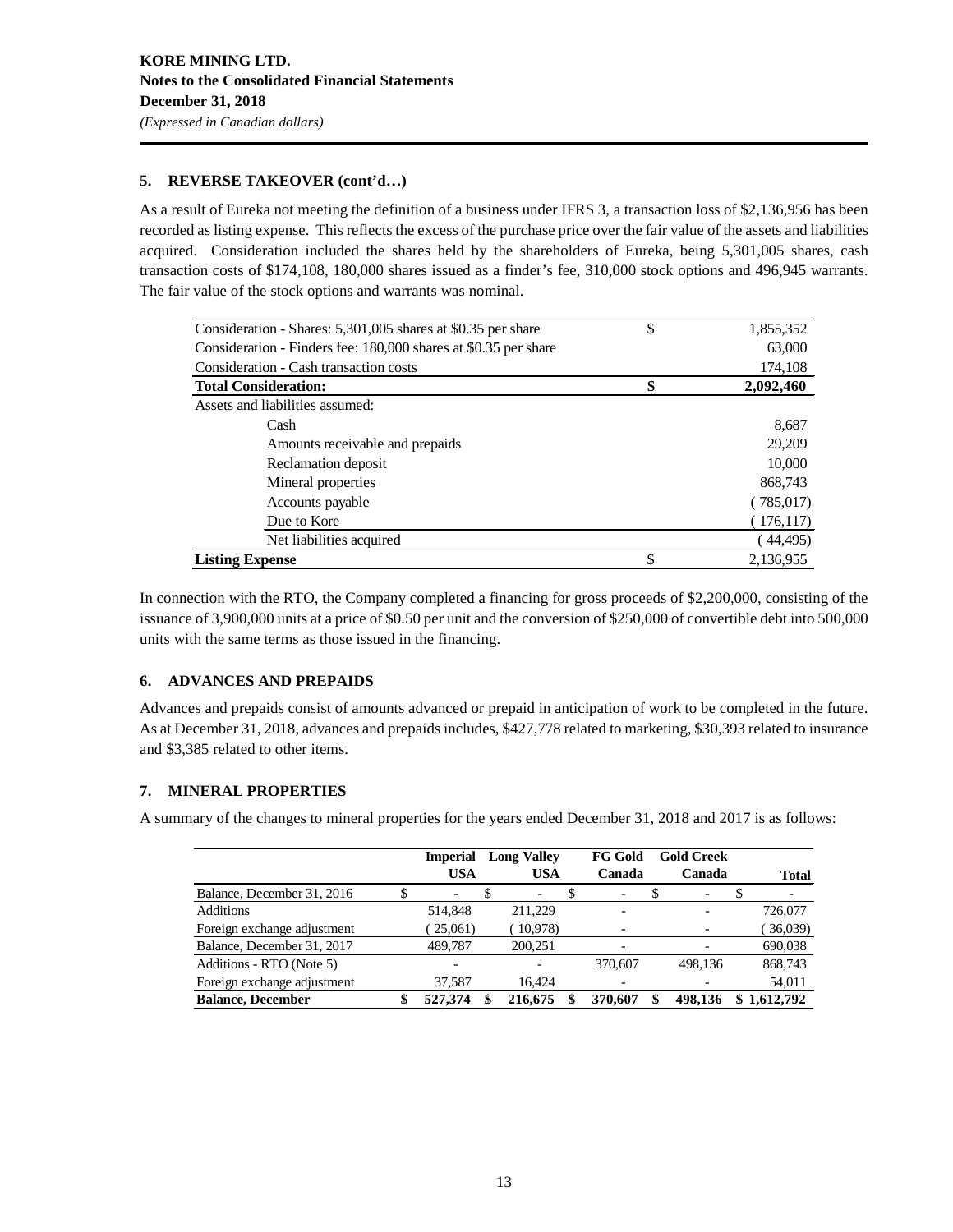### **5. REVERSE TAKEOVER (cont'd…)**

As a result of Eureka not meeting the definition of a business under IFRS 3, a transaction loss of \$2,136,956 has been recorded as listing expense. This reflects the excess of the purchase price over the fair value of the assets and liabilities acquired. Consideration included the shares held by the shareholders of Eureka, being 5,301,005 shares, cash transaction costs of \$174,108, 180,000 shares issued as a finder's fee, 310,000 stock options and 496,945 warrants. The fair value of the stock options and warrants was nominal.

| Consideration - Shares: 5,301,005 shares at \$0.35 per share    | \$ | 1,855,352  |
|-----------------------------------------------------------------|----|------------|
| Consideration - Finders fee: 180,000 shares at \$0.35 per share |    | 63,000     |
| Consideration - Cash transaction costs                          |    | 174,108    |
| <b>Total Consideration:</b>                                     |    | 2,092,460  |
| Assets and liabilities assumed:                                 |    |            |
| Cash                                                            |    | 8,687      |
| Amounts receivable and prepaids                                 |    | 29,209     |
| Reclamation deposit                                             |    | 10,000     |
| Mineral properties                                              |    | 868,743    |
| Accounts payable                                                |    | (785,017)  |
| Due to Kore                                                     |    | (176, 117) |
| Net liabilities acquired                                        |    | (44, 495)  |
| <b>Listing Expense</b>                                          | S  | 2.136.955  |

In connection with the RTO, the Company completed a financing for gross proceeds of \$2,200,000, consisting of the issuance of 3,900,000 units at a price of \$0.50 per unit and the conversion of \$250,000 of convertible debt into 500,000 units with the same terms as those issued in the financing.

### **6. ADVANCES AND PREPAIDS**

Advances and prepaids consist of amounts advanced or prepaid in anticipation of work to be completed in the future. As at December 31, 2018, advances and prepaids includes, \$427,778 related to marketing, \$30,393 related to insurance and \$3,385 related to other items.

### **7. MINERAL PROPERTIES**

A summary of the changes to mineral properties for the years ended December 31, 2018 and 2017 is as follows:

|                             | <b>Imperial</b><br><b>USA</b> | <b>Long Valley</b><br><b>USA</b> | FG Gold<br>Canada | <b>Gold Creek</b><br>Canada |   | <b>Total</b> |
|-----------------------------|-------------------------------|----------------------------------|-------------------|-----------------------------|---|--------------|
| Balance, December 31, 2016  | -                             |                                  |                   | -                           | Φ |              |
| <b>Additions</b>            | 514,848                       | 211,229                          |                   |                             |   | 726,077      |
| Foreign exchange adjustment | 25,061)                       | 10,978)                          |                   |                             |   | 36,039       |
| Balance, December 31, 2017  | 489,787                       | 200,251                          |                   |                             |   | 690,038      |
| Additions - RTO (Note 5)    | ۰                             |                                  | 370,607           | 498.136                     |   | 868,743      |
| Foreign exchange adjustment | 37.587                        | 16.424                           |                   |                             |   | 54,011       |
| <b>Balance, December</b>    | 527,374                       | 216,675                          | 370,607           | 498.136                     |   | 1.612.792    |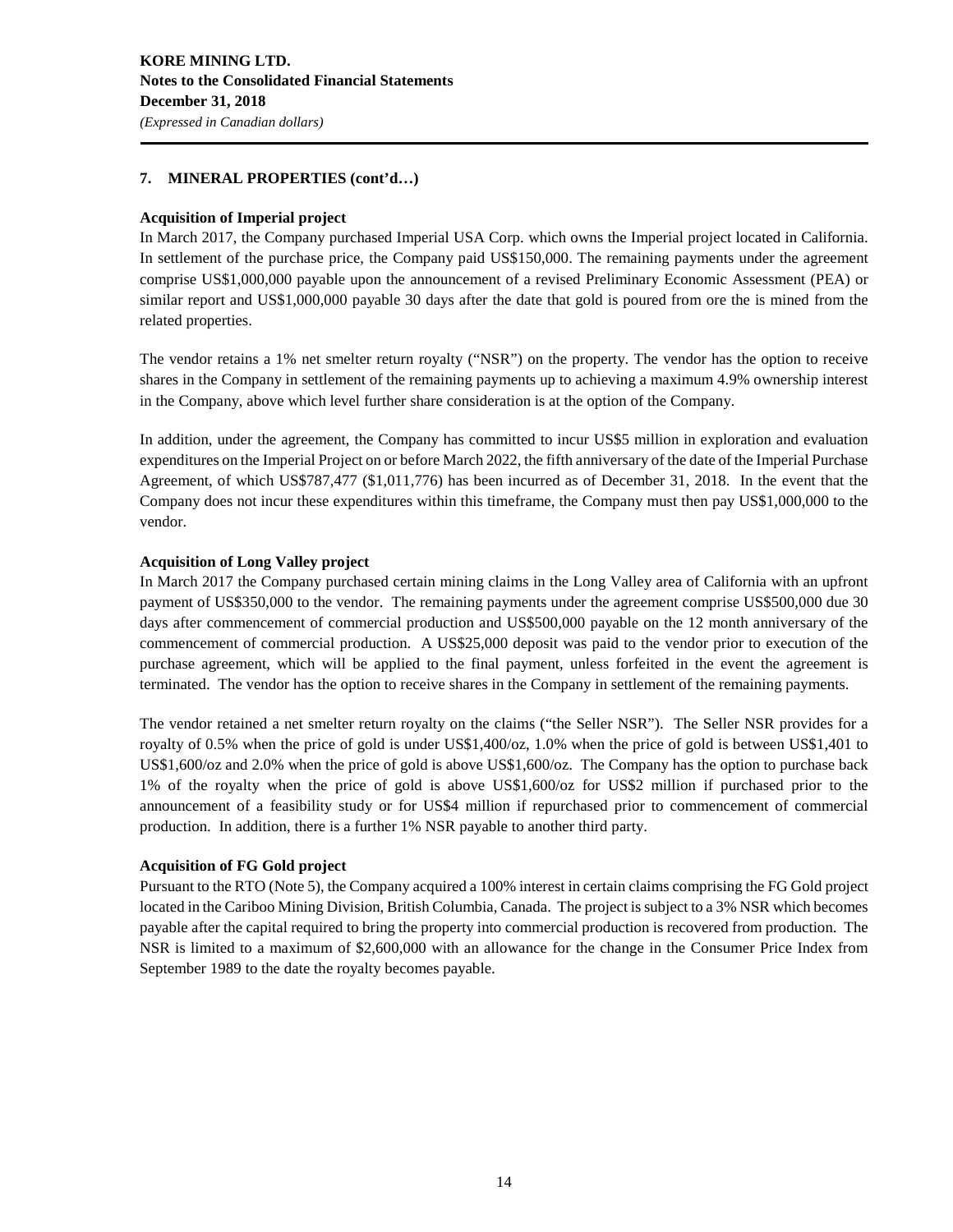### **7. MINERAL PROPERTIES (cont'd…)**

### **Acquisition of Imperial project**

In March 2017, the Company purchased Imperial USA Corp. which owns the Imperial project located in California. In settlement of the purchase price, the Company paid US\$150,000. The remaining payments under the agreement comprise US\$1,000,000 payable upon the announcement of a revised Preliminary Economic Assessment (PEA) or similar report and US\$1,000,000 payable 30 days after the date that gold is poured from ore the is mined from the related properties.

The vendor retains a 1% net smelter return royalty ("NSR") on the property. The vendor has the option to receive shares in the Company in settlement of the remaining payments up to achieving a maximum 4.9% ownership interest in the Company, above which level further share consideration is at the option of the Company.

In addition, under the agreement, the Company has committed to incur US\$5 million in exploration and evaluation expenditures on the Imperial Project on or before March 2022, the fifth anniversary of the date of the Imperial Purchase Agreement, of which US\$787,477 (\$1,011,776) has been incurred as of December 31, 2018. In the event that the Company does not incur these expenditures within this timeframe, the Company must then pay US\$1,000,000 to the vendor.

### **Acquisition of Long Valley project**

In March 2017 the Company purchased certain mining claims in the Long Valley area of California with an upfront payment of US\$350,000 to the vendor. The remaining payments under the agreement comprise US\$500,000 due 30 days after commencement of commercial production and US\$500,000 payable on the 12 month anniversary of the commencement of commercial production. A US\$25,000 deposit was paid to the vendor prior to execution of the purchase agreement, which will be applied to the final payment, unless forfeited in the event the agreement is terminated. The vendor has the option to receive shares in the Company in settlement of the remaining payments.

The vendor retained a net smelter return royalty on the claims ("the Seller NSR"). The Seller NSR provides for a royalty of 0.5% when the price of gold is under US\$1,400/oz, 1.0% when the price of gold is between US\$1,401 to US\$1,600/oz and 2.0% when the price of gold is above US\$1,600/oz. The Company has the option to purchase back 1% of the royalty when the price of gold is above US\$1,600/oz for US\$2 million if purchased prior to the announcement of a feasibility study or for US\$4 million if repurchased prior to commencement of commercial production. In addition, there is a further 1% NSR payable to another third party.

### **Acquisition of FG Gold project**

Pursuant to the RTO (Note 5), the Company acquired a 100% interest in certain claims comprising the FG Gold project located in the Cariboo Mining Division, British Columbia, Canada. The project is subject to a 3% NSR which becomes payable after the capital required to bring the property into commercial production is recovered from production. The NSR is limited to a maximum of \$2,600,000 with an allowance for the change in the Consumer Price Index from September 1989 to the date the royalty becomes payable.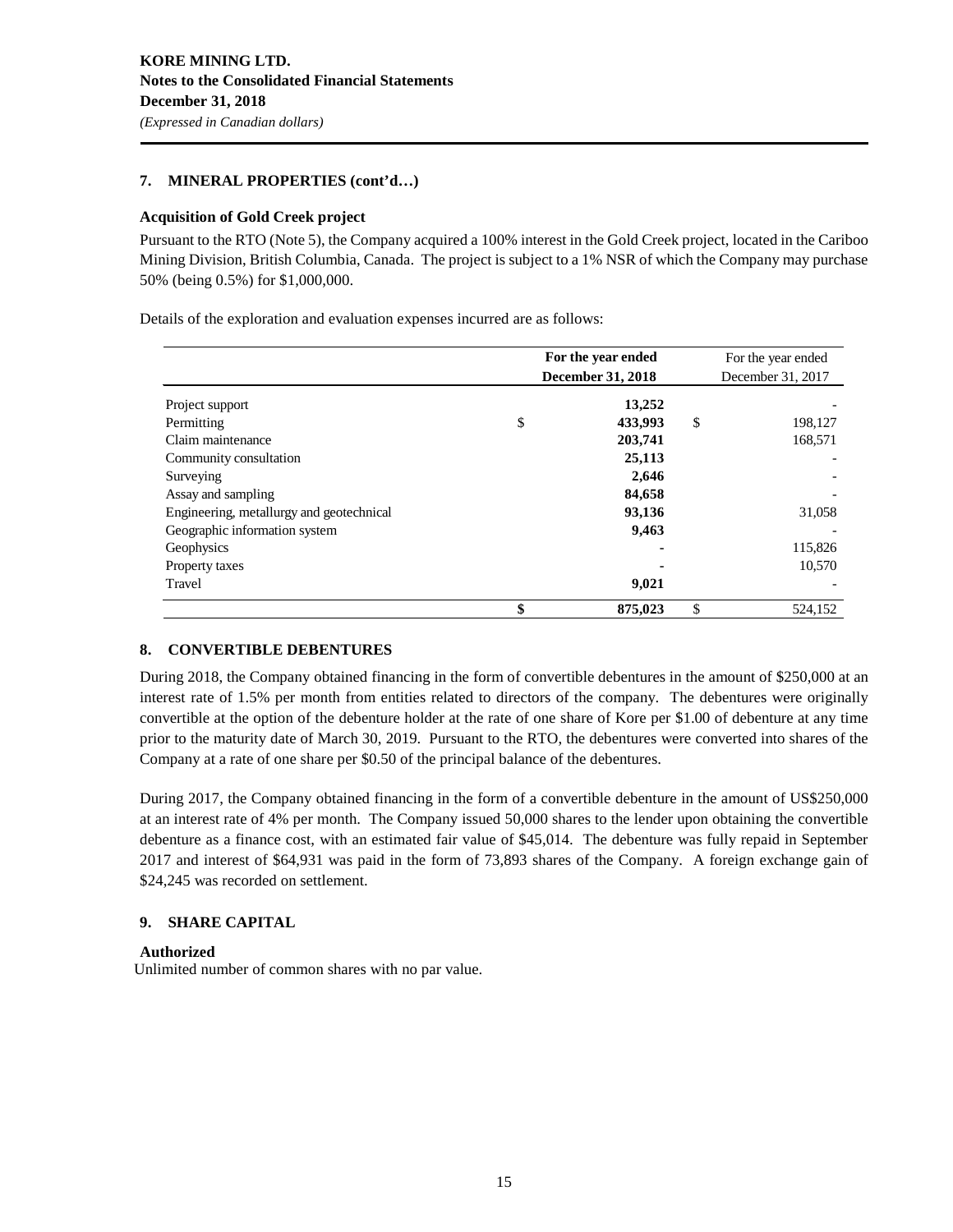### **7. MINERAL PROPERTIES (cont'd…)**

### **Acquisition of Gold Creek project**

Pursuant to the RTO (Note 5), the Company acquired a 100% interest in the Gold Creek project, located in the Cariboo Mining Division, British Columbia, Canada. The project is subject to a 1% NSR of which the Company may purchase 50% (being 0.5%) for \$1,000,000.

Details of the exploration and evaluation expenses incurred are as follows:

|                                          | For the year ended       |                   | For the year ended |  |
|------------------------------------------|--------------------------|-------------------|--------------------|--|
|                                          | <b>December 31, 2018</b> | December 31, 2017 |                    |  |
| Project support                          | 13,252                   |                   |                    |  |
| Permitting                               | \$<br>433,993            | \$                | 198,127            |  |
| Claim maintenance                        | 203,741                  |                   | 168,571            |  |
| Community consultation                   | 25,113                   |                   |                    |  |
| Surveying                                | 2,646                    |                   |                    |  |
| Assay and sampling                       | 84,658                   |                   |                    |  |
| Engineering, metallurgy and geotechnical | 93,136                   |                   | 31,058             |  |
| Geographic information system            | 9,463                    |                   |                    |  |
| Geophysics                               |                          |                   | 115,826            |  |
| Property taxes                           |                          |                   | 10,570             |  |
| Travel                                   | 9,021                    |                   |                    |  |
|                                          | \$<br>875,023            | \$                | 524.152            |  |

### **8. CONVERTIBLE DEBENTURES**

During 2018, the Company obtained financing in the form of convertible debentures in the amount of \$250,000 at an interest rate of 1.5% per month from entities related to directors of the company. The debentures were originally convertible at the option of the debenture holder at the rate of one share of Kore per \$1.00 of debenture at any time prior to the maturity date of March 30, 2019. Pursuant to the RTO, the debentures were converted into shares of the Company at a rate of one share per \$0.50 of the principal balance of the debentures.

During 2017, the Company obtained financing in the form of a convertible debenture in the amount of US\$250,000 at an interest rate of 4% per month. The Company issued 50,000 shares to the lender upon obtaining the convertible debenture as a finance cost, with an estimated fair value of \$45,014. The debenture was fully repaid in September 2017 and interest of \$64,931 was paid in the form of 73,893 shares of the Company. A foreign exchange gain of \$24,245 was recorded on settlement.

### **9. SHARE CAPITAL**

### **Authorized**

Unlimited number of common shares with no par value.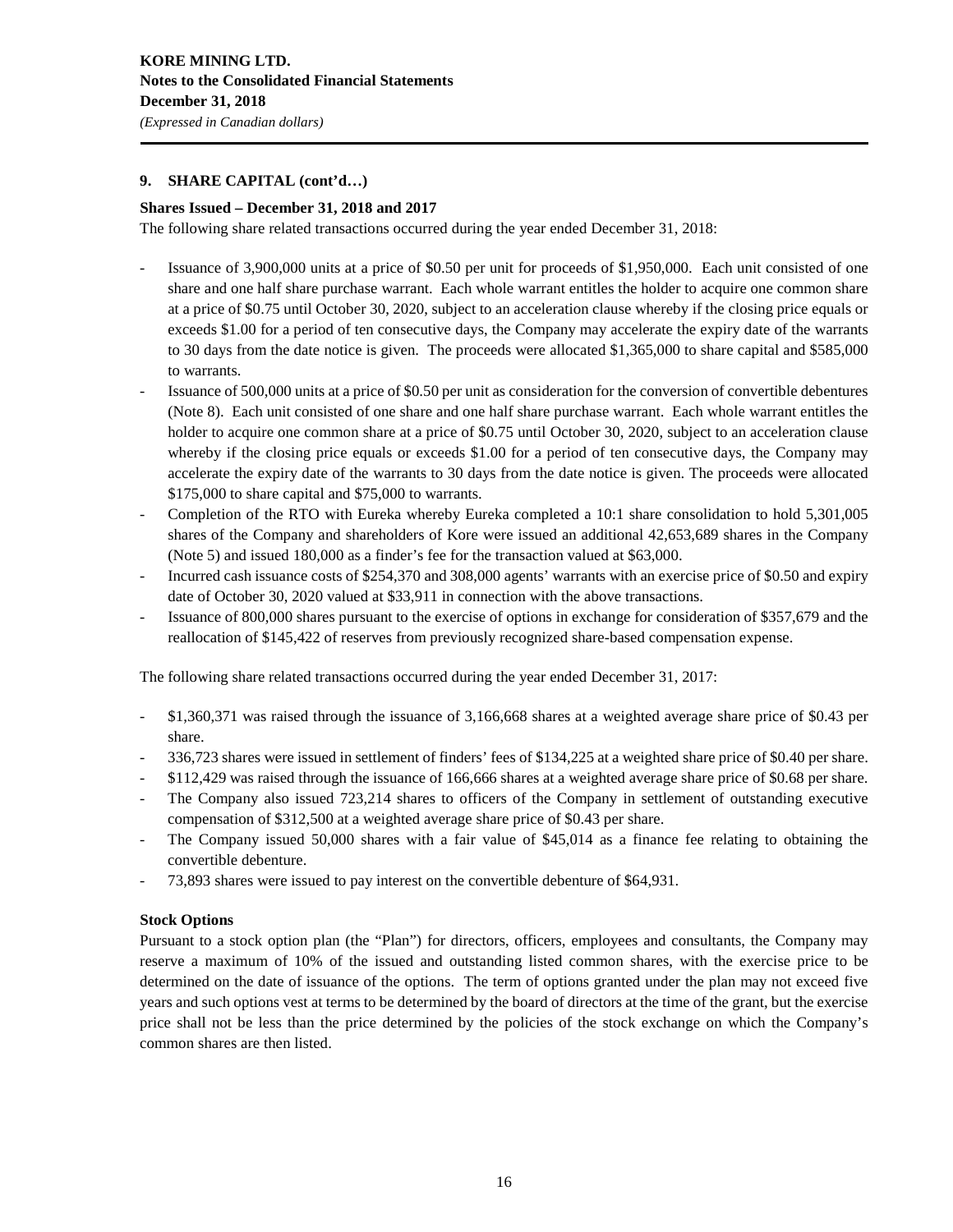### **9. SHARE CAPITAL (cont'd…)**

### **Shares Issued – December 31, 2018 and 2017**

The following share related transactions occurred during the year ended December 31, 2018:

- Issuance of 3,900,000 units at a price of \$0.50 per unit for proceeds of \$1,950,000. Each unit consisted of one share and one half share purchase warrant. Each whole warrant entitles the holder to acquire one common share at a price of \$0.75 until October 30, 2020, subject to an acceleration clause whereby if the closing price equals or exceeds \$1.00 for a period of ten consecutive days, the Company may accelerate the expiry date of the warrants to 30 days from the date notice is given. The proceeds were allocated \$1,365,000 to share capital and \$585,000 to warrants.
- Issuance of 500,000 units at a price of \$0.50 per unit as consideration for the conversion of convertible debentures (Note 8). Each unit consisted of one share and one half share purchase warrant. Each whole warrant entitles the holder to acquire one common share at a price of \$0.75 until October 30, 2020, subject to an acceleration clause whereby if the closing price equals or exceeds \$1.00 for a period of ten consecutive days, the Company may accelerate the expiry date of the warrants to 30 days from the date notice is given. The proceeds were allocated \$175,000 to share capital and \$75,000 to warrants.
- Completion of the RTO with Eureka whereby Eureka completed a 10:1 share consolidation to hold 5,301,005 shares of the Company and shareholders of Kore were issued an additional 42,653,689 shares in the Company (Note 5) and issued 180,000 as a finder's fee for the transaction valued at \$63,000.
- Incurred cash issuance costs of \$254,370 and 308,000 agents' warrants with an exercise price of \$0.50 and expiry date of October 30, 2020 valued at \$33,911 in connection with the above transactions.
- Issuance of 800,000 shares pursuant to the exercise of options in exchange for consideration of \$357,679 and the reallocation of \$145,422 of reserves from previously recognized share-based compensation expense.

The following share related transactions occurred during the year ended December 31, 2017:

- \$1,360,371 was raised through the issuance of 3,166,668 shares at a weighted average share price of \$0.43 per share.
- 336,723 shares were issued in settlement of finders' fees of \$134,225 at a weighted share price of \$0.40 per share.
- \$112,429 was raised through the issuance of 166,666 shares at a weighted average share price of \$0.68 per share.
- The Company also issued 723,214 shares to officers of the Company in settlement of outstanding executive compensation of \$312,500 at a weighted average share price of \$0.43 per share.
- The Company issued 50,000 shares with a fair value of \$45,014 as a finance fee relating to obtaining the convertible debenture.
- 73,893 shares were issued to pay interest on the convertible debenture of \$64,931.

### **Stock Options**

Pursuant to a stock option plan (the "Plan") for directors, officers, employees and consultants, the Company may reserve a maximum of 10% of the issued and outstanding listed common shares, with the exercise price to be determined on the date of issuance of the options. The term of options granted under the plan may not exceed five years and such options vest at terms to be determined by the board of directors at the time of the grant, but the exercise price shall not be less than the price determined by the policies of the stock exchange on which the Company's common shares are then listed.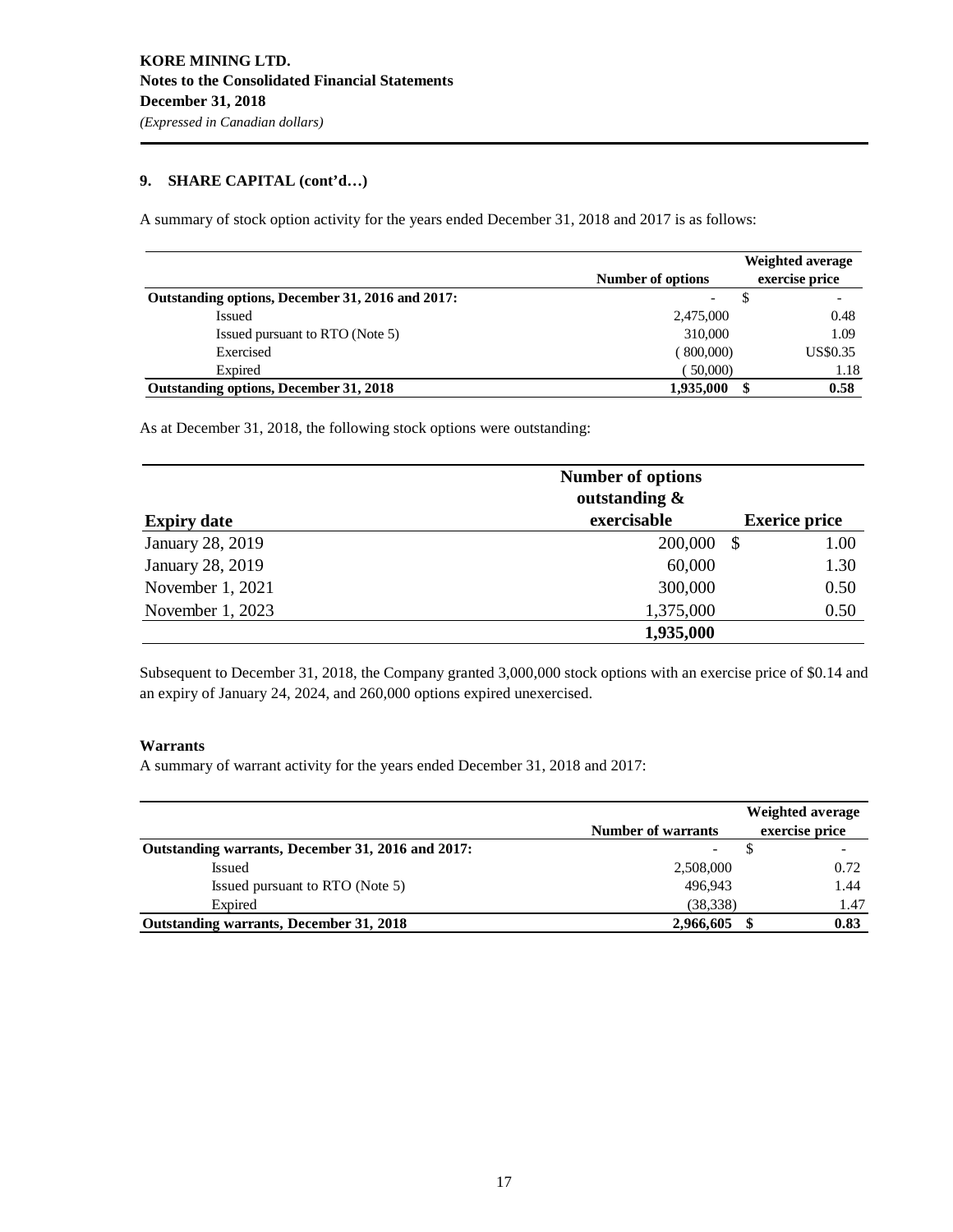### **9. SHARE CAPITAL (cont'd…)**

A summary of stock option activity for the years ended December 31, 2018 and 2017 is as follows:

|                                                  | Number of options | Weighted average<br>exercise price |
|--------------------------------------------------|-------------------|------------------------------------|
| Outstanding options, December 31, 2016 and 2017: |                   |                                    |
| Issued                                           | 2,475,000         | 0.48                               |
| Issued pursuant to RTO (Note 5)                  | 310,000           | 1.09                               |
| Exercised                                        | 800,000)          | US\$0.35                           |
| Expired                                          | 50,000)           | 1.18                               |
| Outstanding options, December 31, 2018           | 1,935,000         | 0.58                               |

As at December 31, 2018, the following stock options were outstanding:

|                    | <b>Number of options</b><br>outstanding $\&$ |                      |
|--------------------|----------------------------------------------|----------------------|
| <b>Expiry date</b> | exercisable                                  | <b>Exerice price</b> |
| January 28, 2019   | 200,000                                      | 1.00<br>-S           |
| January 28, 2019   | 60,000                                       | 1.30                 |
| November 1, 2021   | 300,000                                      | 0.50                 |
| November 1, 2023   | 1,375,000                                    | 0.50                 |
|                    | 1,935,000                                    |                      |

Subsequent to December 31, 2018, the Company granted 3,000,000 stock options with an exercise price of \$0.14 and an expiry of January 24, 2024, and 260,000 options expired unexercised.

### **Warrants**

A summary of warrant activity for the years ended December 31, 2018 and 2017:

|                                                   | <b>Number of warrants</b> | Weighted average<br>exercise price |
|---------------------------------------------------|---------------------------|------------------------------------|
| Outstanding warrants, December 31, 2016 and 2017: |                           |                                    |
| <b>Issued</b>                                     | 2,508,000                 | 0.72                               |
| Issued pursuant to RTO (Note 5)                   | 496.943                   | 1.44                               |
| Expired                                           | (38, 338)                 | 1.47                               |
| <b>Outstanding warrants, December 31, 2018</b>    | 2,966,605                 | 0.83                               |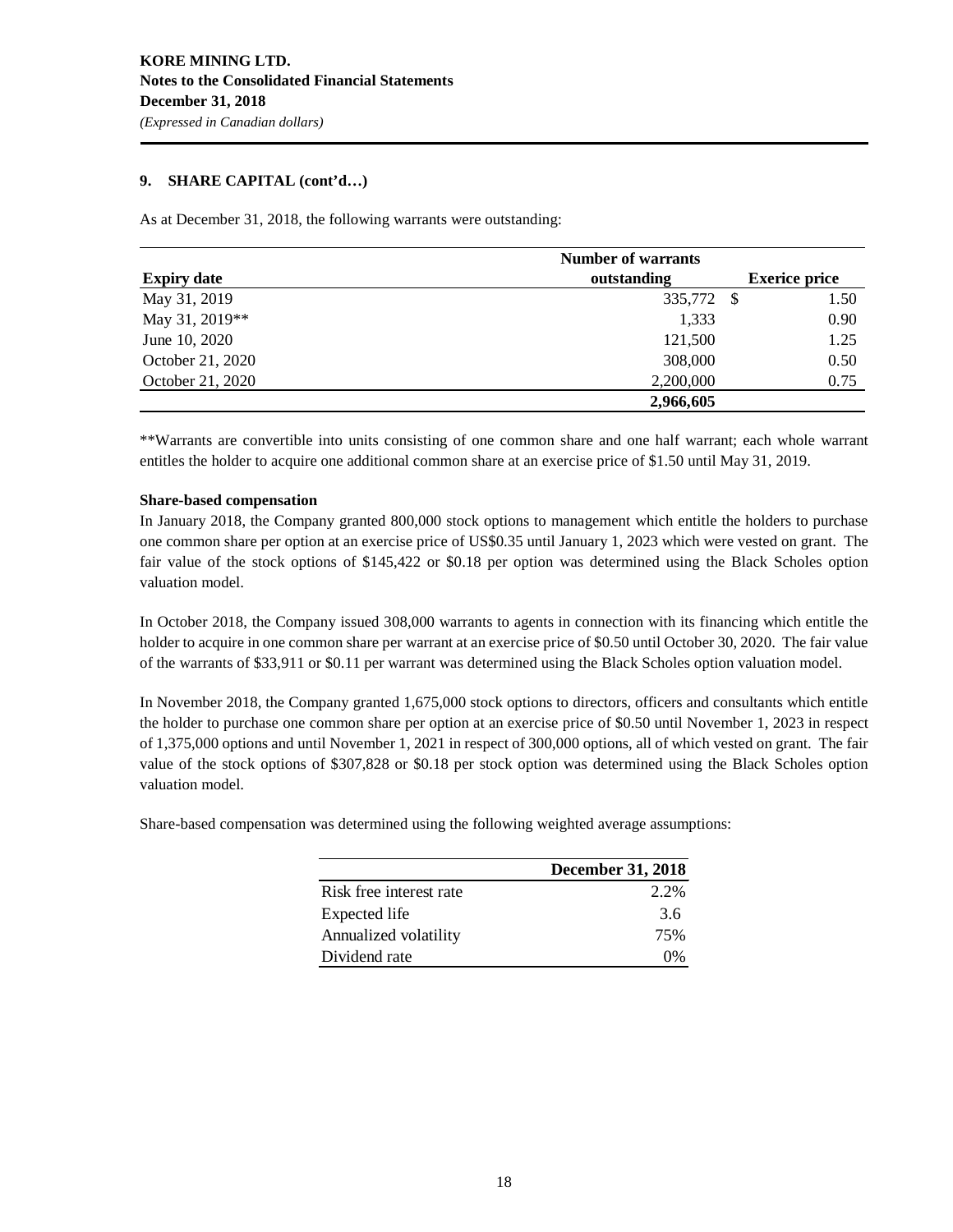### **9. SHARE CAPITAL (cont'd…)**

As at December 31, 2018, the following warrants were outstanding:

| <b>Expiry date</b> | outstanding | <b>Exerice price</b> |
|--------------------|-------------|----------------------|
| May 31, 2019       | 335,772 \$  | 1.50                 |
| May 31, 2019**     | 1,333       | 0.90                 |
| June 10, 2020      | 121,500     | 1.25                 |
| October 21, 2020   | 308,000     | 0.50                 |
| October 21, 2020   | 2,200,000   | 0.75                 |
|                    | 2,966,605   |                      |

\*\*Warrants are convertible into units consisting of one common share and one half warrant; each whole warrant entitles the holder to acquire one additional common share at an exercise price of \$1.50 until May 31, 2019.

### **Share-based compensation**

In January 2018, the Company granted 800,000 stock options to management which entitle the holders to purchase one common share per option at an exercise price of US\$0.35 until January 1, 2023 which were vested on grant. The fair value of the stock options of \$145,422 or \$0.18 per option was determined using the Black Scholes option valuation model.

In October 2018, the Company issued 308,000 warrants to agents in connection with its financing which entitle the holder to acquire in one common share per warrant at an exercise price of \$0.50 until October 30, 2020. The fair value of the warrants of \$33,911 or \$0.11 per warrant was determined using the Black Scholes option valuation model.

In November 2018, the Company granted 1,675,000 stock options to directors, officers and consultants which entitle the holder to purchase one common share per option at an exercise price of \$0.50 until November 1, 2023 in respect of 1,375,000 options and until November 1, 2021 in respect of 300,000 options, all of which vested on grant. The fair value of the stock options of \$307,828 or \$0.18 per stock option was determined using the Black Scholes option valuation model.

Share-based compensation was determined using the following weighted average assumptions:

|                         | <b>December 31, 2018</b> |  |  |  |
|-------------------------|--------------------------|--|--|--|
| Risk free interest rate | 2.2%                     |  |  |  |
| Expected life           | 36                       |  |  |  |
| Annualized volatility   | 75%                      |  |  |  |
| Dividend rate           | $\Omega\%$               |  |  |  |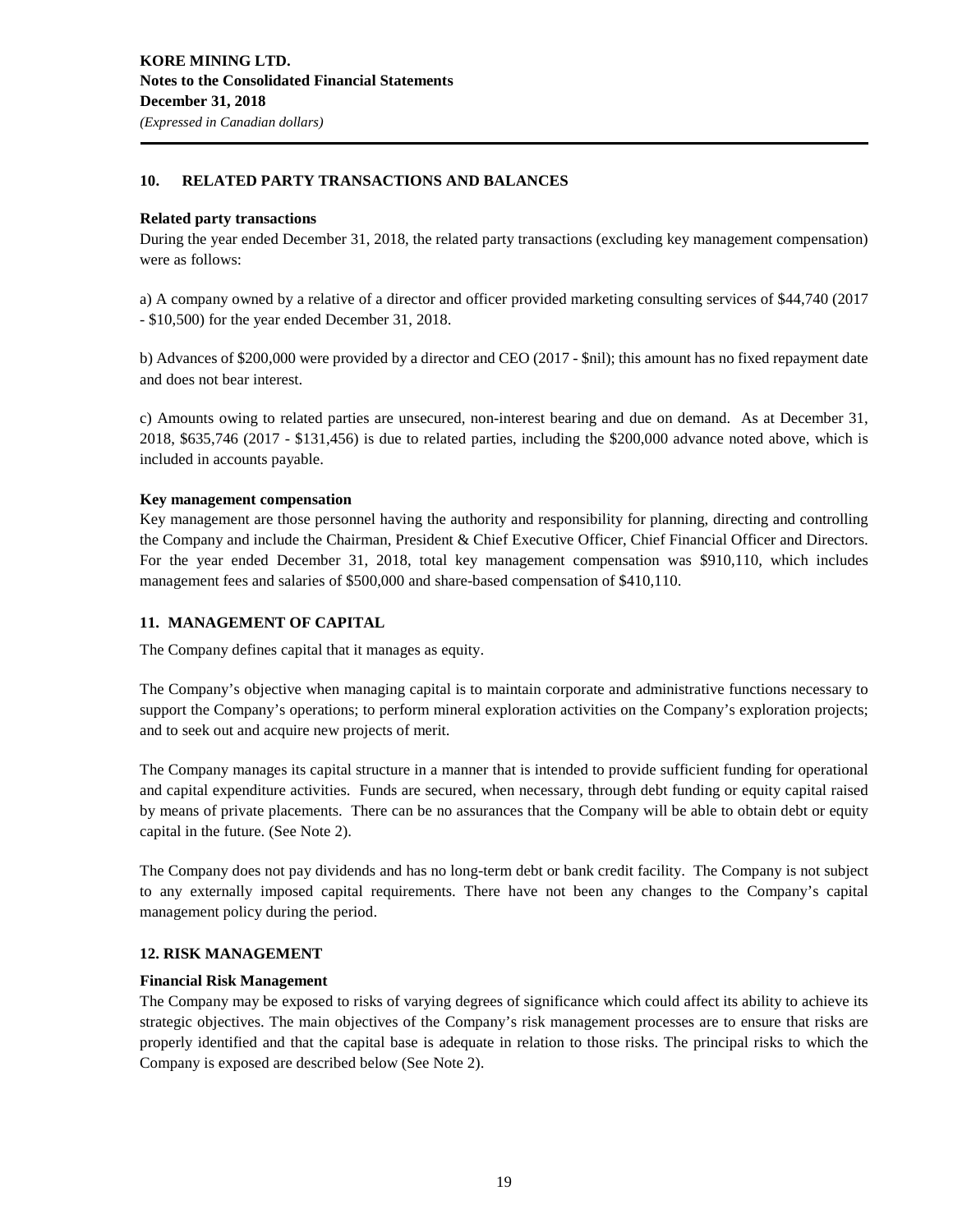### **10. RELATED PARTY TRANSACTIONS AND BALANCES**

### **Related party transactions**

During the year ended December 31, 2018, the related party transactions (excluding key management compensation) were as follows:

a) A company owned by a relative of a director and officer provided marketing consulting services of \$44,740 (2017 - \$10,500) for the year ended December 31, 2018.

b) Advances of \$200,000 were provided by a director and CEO (2017 - \$nil); this amount has no fixed repayment date and does not bear interest.

c) Amounts owing to related parties are unsecured, non-interest bearing and due on demand. As at December 31, 2018, \$635,746 (2017 - \$131,456) is due to related parties, including the \$200,000 advance noted above, which is included in accounts payable.

### **Key management compensation**

Key management are those personnel having the authority and responsibility for planning, directing and controlling the Company and include the Chairman, President & Chief Executive Officer, Chief Financial Officer and Directors. For the year ended December 31, 2018, total key management compensation was \$910,110, which includes management fees and salaries of \$500,000 and share-based compensation of \$410,110.

### **11. MANAGEMENT OF CAPITAL**

The Company defines capital that it manages as equity.

The Company's objective when managing capital is to maintain corporate and administrative functions necessary to support the Company's operations; to perform mineral exploration activities on the Company's exploration projects; and to seek out and acquire new projects of merit.

The Company manages its capital structure in a manner that is intended to provide sufficient funding for operational and capital expenditure activities. Funds are secured, when necessary, through debt funding or equity capital raised by means of private placements. There can be no assurances that the Company will be able to obtain debt or equity capital in the future. (See Note 2).

The Company does not pay dividends and has no long-term debt or bank credit facility. The Company is not subject to any externally imposed capital requirements. There have not been any changes to the Company's capital management policy during the period.

### **12. RISK MANAGEMENT**

### **Financial Risk Management**

The Company may be exposed to risks of varying degrees of significance which could affect its ability to achieve its strategic objectives. The main objectives of the Company's risk management processes are to ensure that risks are properly identified and that the capital base is adequate in relation to those risks. The principal risks to which the Company is exposed are described below (See Note 2).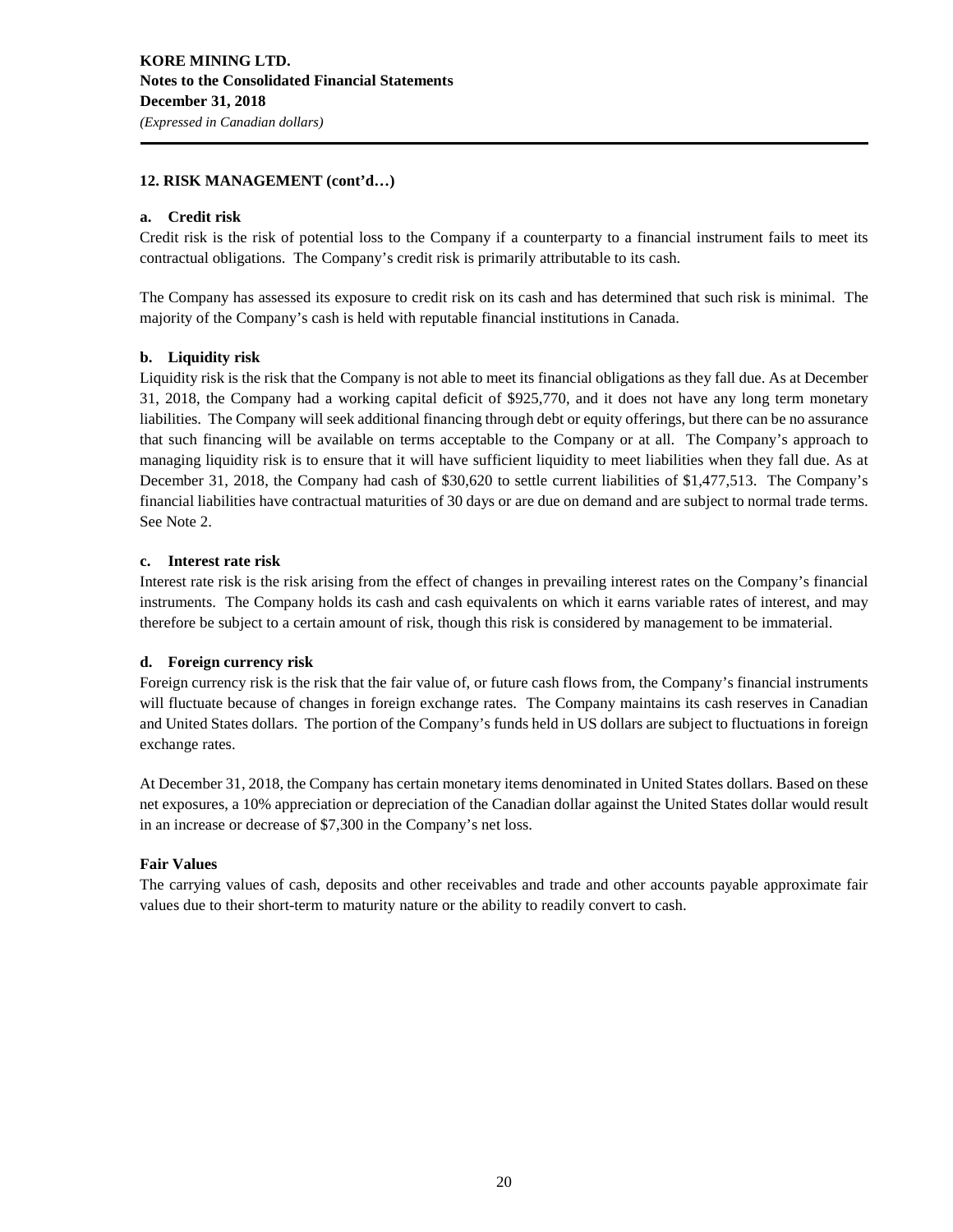### **12. RISK MANAGEMENT (cont'd…)**

### **a. Credit risk**

Credit risk is the risk of potential loss to the Company if a counterparty to a financial instrument fails to meet its contractual obligations. The Company's credit risk is primarily attributable to its cash.

The Company has assessed its exposure to credit risk on its cash and has determined that such risk is minimal. The majority of the Company's cash is held with reputable financial institutions in Canada.

### **b. Liquidity risk**

Liquidity risk is the risk that the Company is not able to meet its financial obligations as they fall due. As at December 31, 2018, the Company had a working capital deficit of \$925,770, and it does not have any long term monetary liabilities. The Company will seek additional financing through debt or equity offerings, but there can be no assurance that such financing will be available on terms acceptable to the Company or at all. The Company's approach to managing liquidity risk is to ensure that it will have sufficient liquidity to meet liabilities when they fall due. As at December 31, 2018, the Company had cash of \$30,620 to settle current liabilities of \$1,477,513. The Company's financial liabilities have contractual maturities of 30 days or are due on demand and are subject to normal trade terms. See Note 2.

### **c. Interest rate risk**

Interest rate risk is the risk arising from the effect of changes in prevailing interest rates on the Company's financial instruments. The Company holds its cash and cash equivalents on which it earns variable rates of interest, and may therefore be subject to a certain amount of risk, though this risk is considered by management to be immaterial.

### **d. Foreign currency risk**

Foreign currency risk is the risk that the fair value of, or future cash flows from, the Company's financial instruments will fluctuate because of changes in foreign exchange rates. The Company maintains its cash reserves in Canadian and United States dollars. The portion of the Company's funds held in US dollars are subject to fluctuations in foreign exchange rates.

At December 31, 2018, the Company has certain monetary items denominated in United States dollars. Based on these net exposures, a 10% appreciation or depreciation of the Canadian dollar against the United States dollar would result in an increase or decrease of \$7,300 in the Company's net loss.

### **Fair Values**

The carrying values of cash, deposits and other receivables and trade and other accounts payable approximate fair values due to their short-term to maturity nature or the ability to readily convert to cash.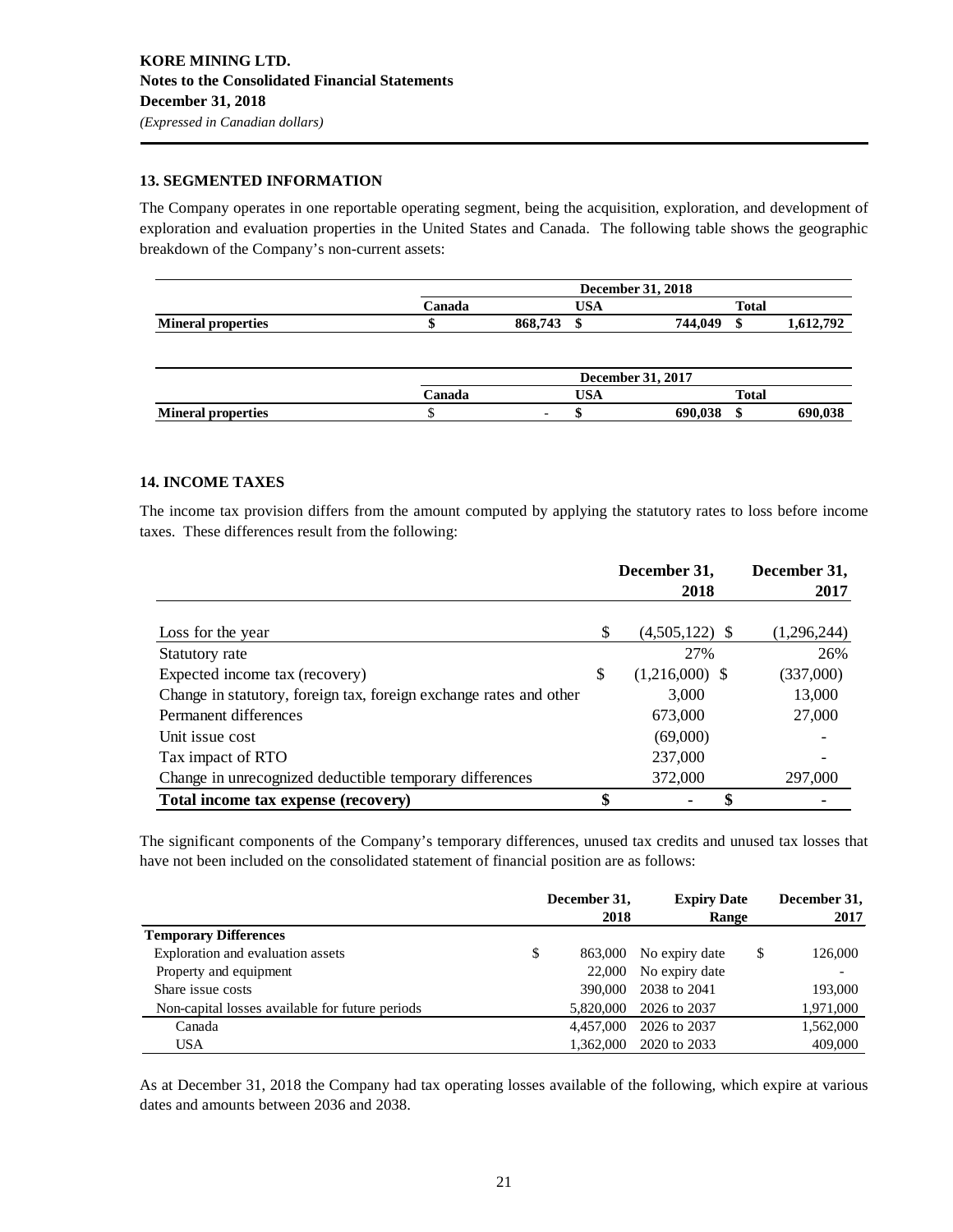### **13. SEGMENTED INFORMATION**

The Company operates in one reportable operating segment, being the acquisition, exploration, and development of exploration and evaluation properties in the United States and Canada. The following table shows the geographic breakdown of the Company's non-current assets:

|                           |        | <b>December 31, 2018</b> |              |                      |  |
|---------------------------|--------|--------------------------|--------------|----------------------|--|
|                           | `anada |                          | <b>Total</b> |                      |  |
| <b>Mineral properties</b> |        | 868,743                  | ۱Л           | 744.049<br>1.612.792 |  |

|                           | <b>December 31, 2017</b> |                          |                    |  |
|---------------------------|--------------------------|--------------------------|--------------------|--|
|                           | <b>Canada</b>            | USA<br>Total             |                    |  |
| <b>Mineral properties</b> |                          | $\overline{\phantom{0}}$ | 690.038<br>690.038 |  |

### **14. INCOME TAXES**

The income tax provision differs from the amount computed by applying the statutory rates to loss before income taxes. These differences result from the following:

|                                                                    | December 31,           | December 31, |  |
|--------------------------------------------------------------------|------------------------|--------------|--|
|                                                                    | 2018                   | 2017         |  |
|                                                                    |                        |              |  |
| Loss for the year                                                  | \$<br>$(4,505,122)$ \$ | (1,296,244)  |  |
| Statutory rate                                                     | 27%                    | 26%          |  |
| Expected income tax (recovery)                                     | \$<br>$(1,216,000)$ \$ | (337,000)    |  |
| Change in statutory, foreign tax, foreign exchange rates and other | 3,000                  | 13,000       |  |
| Permanent differences                                              | 673,000                | 27,000       |  |
| Unit issue cost                                                    | (69,000)               |              |  |
| Tax impact of RTO                                                  | 237,000                |              |  |
| Change in unrecognized deductible temporary differences            | 372,000                | 297,000      |  |
| Total income tax expense (recovery)                                | \$                     |              |  |

The significant components of the Company's temporary differences, unused tax credits and unused tax losses that have not been included on the consolidated statement of financial position are as follows:

|                                                 | December 31,<br>2018 |           | <b>Expiry Date</b><br><b>Range</b> |    | December 31,<br>2017 |  |
|-------------------------------------------------|----------------------|-----------|------------------------------------|----|----------------------|--|
| <b>Temporary Differences</b>                    |                      |           |                                    |    |                      |  |
| Exploration and evaluation assets               | \$                   | 863,000   | No expiry date                     | \$ | 126,000              |  |
| Property and equipment                          |                      | 22,000    | No expiry date                     |    |                      |  |
| Share issue costs                               |                      | 390,000   | 2038 to 2041                       |    | 193,000              |  |
| Non-capital losses available for future periods |                      | 5.820,000 | 2026 to 2037                       |    | 1,971,000            |  |
| Canada                                          |                      | 4,457,000 | 2026 to 2037                       |    | 1,562,000            |  |
| <b>USA</b>                                      |                      | 1,362,000 | 2020 to 2033                       |    | 409,000              |  |

As at December 31, 2018 the Company had tax operating losses available of the following, which expire at various dates and amounts between 2036 and 2038.